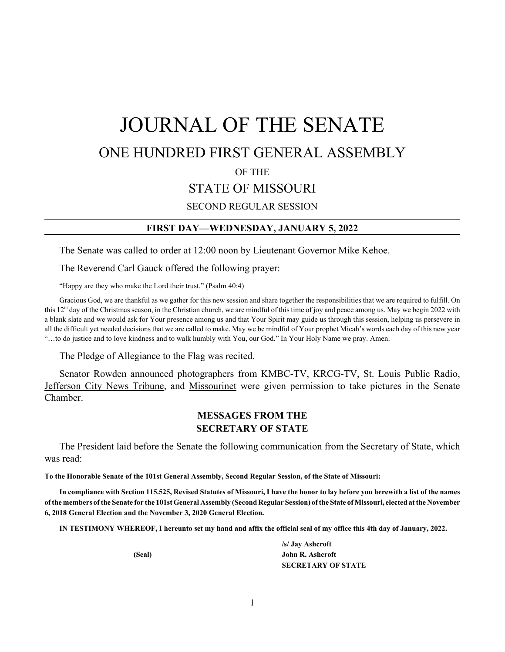# JOURNAL OF THE SENATE ONE HUNDRED FIRST GENERAL ASSEMBLY OF THE STATE OF MISSOURI SECOND REGULAR SESSION

### **FIRST DAY—WEDNESDAY, JANUARY 5, 2022**

The Senate was called to order at 12:00 noon by Lieutenant Governor Mike Kehoe.

The Reverend Carl Gauck offered the following prayer:

"Happy are they who make the Lord their trust." (Psalm 40:4)

Gracious God, we are thankful as we gather for this new session and share together the responsibilities that we are required to fulfill. On this  $12<sup>th</sup>$  day of the Christmas season, in the Christian church, we are mindful of this time of joy and peace among us. May we begin 2022 with a blank slate and we would ask for Your presence among us and that Your Spirit may guide us through this session, helping us persevere in all the difficult yet needed decisions that we are called to make. May we be mindful of Your prophet Micah's words each day of this new year "…to do justice and to love kindness and to walk humbly with You, our God." In Your Holy Name we pray. Amen.

The Pledge of Allegiance to the Flag was recited.

Senator Rowden announced photographers from KMBC-TV, KRCG-TV, St. Louis Public Radio, Jefferson City News Tribune, and Missourinet were given permission to take pictures in the Senate Chamber.

## **MESSAGES FROM THE SECRETARY OF STATE**

The President laid before the Senate the following communication from the Secretary of State, which was read:

**To the Honorable Senate of the 101st General Assembly, Second Regular Session, of the State of Missouri:**

**In compliance with Section 115.525, Revised Statutes of Missouri, I have the honor to lay before you herewith a list of the names of the members of the Senate for the 101st General Assembly (Second Regular Session) of the State of Missouri, elected at the November 6, 2018 General Election and the November 3, 2020 General Election.**

**IN TESTIMONY WHEREOF, I hereunto set my hand and affix the official seal of my office this 4th day of January, 2022.**

**/s/ Jay Ashcroft (Seal) John R. Ashcroft SECRETARY OF STATE**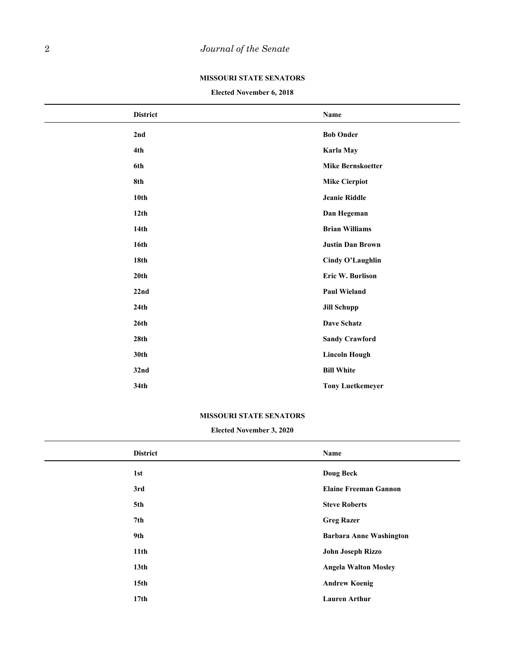### **MISSOURI STATE SENATORS**

**Elected November 6, 2018**

| <b>District</b>  | Name                     |
|------------------|--------------------------|
| 2nd              | <b>Bob Onder</b>         |
| 4th              | Karla May                |
| 6th              | <b>Mike Bernskoetter</b> |
| 8th              | <b>Mike Cierpiot</b>     |
| 10th             | <b>Jeanie Riddle</b>     |
| 12 <sup>th</sup> | Dan Hegeman              |
| 14th             | <b>Brian Williams</b>    |
| 16th             | <b>Justin Dan Brown</b>  |
| 18 <sub>th</sub> | Cindy O'Laughlin         |
| 20th             | Eric W. Burlison         |
| 22nd             | <b>Paul Wieland</b>      |
| 24th             | <b>Jill Schupp</b>       |
| 26th             | <b>Dave Schatz</b>       |
| 28 <sub>th</sub> | <b>Sandy Crawford</b>    |
| 30th             | <b>Lincoln Hough</b>     |
| 32nd             | <b>Bill White</b>        |
| 34th             | <b>Tony Luetkemeyer</b>  |

### **MISSOURI STATE SENATORS**

### **Elected November 3, 2020**

| <b>District</b>  | Name                           |
|------------------|--------------------------------|
| 1st              | <b>Doug Beck</b>               |
| 3rd              | <b>Elaine Freeman Gannon</b>   |
| 5th              | <b>Steve Roberts</b>           |
| 7th              | <b>Greg Razer</b>              |
| 9th              | <b>Barbara Anne Washington</b> |
| 11th             | John Joseph Rizzo              |
| 13 <sub>th</sub> | <b>Angela Walton Mosley</b>    |
| 15 <sub>th</sub> | <b>Andrew Koenig</b>           |
| 17 <sub>th</sub> | <b>Lauren Arthur</b>           |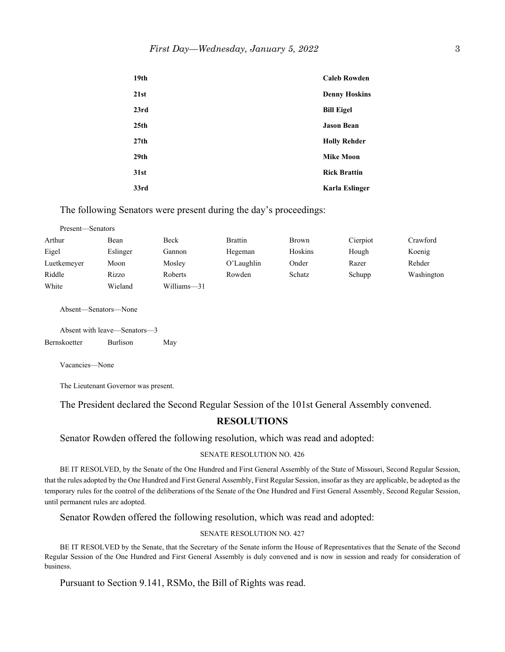| 19 <sub>th</sub> | <b>Caleb Rowden</b>   |
|------------------|-----------------------|
| 21st             | <b>Denny Hoskins</b>  |
| 23rd             | <b>Bill Eigel</b>     |
| 25 <sub>th</sub> | <b>Jason Bean</b>     |
| 27th             | <b>Holly Rehder</b>   |
| 29 <sub>th</sub> | <b>Mike Moon</b>      |
| 31st             | <b>Rick Brattin</b>   |
| 33rd             | <b>Karla Eslinger</b> |

The following Senators were present during the day's proceedings:

| Present—Senators |          |             |                |              |          |            |
|------------------|----------|-------------|----------------|--------------|----------|------------|
| Arthur           | Bean     | Beck        | <b>Brattin</b> | <b>Brown</b> | Cierpiot | Crawford   |
| Eigel            | Eslinger | Gannon      | Hegeman        | Hoskins      | Hough    | Koenig     |
| Luetkemeyer      | Moon     | Mosley      | O'Laughlin     | Onder        | Razer    | Rehder     |
| Riddle           | Rizzo    | Roberts     | Rowden         | Schatz       | Schupp   | Washington |
| White            | Wieland  | Williams-31 |                |              |          |            |

Absent—Senators—None

Absent with leave—Senators—3 Bernskoetter Burlison May

Vacancies—None

The Lieutenant Governor was present.

The President declared the Second Regular Session of the 101st General Assembly convened.

## **RESOLUTIONS**

Senator Rowden offered the following resolution, which was read and adopted:

#### SENATE RESOLUTION NO. 426

BE IT RESOLVED, by the Senate of the One Hundred and First General Assembly of the State of Missouri, Second Regular Session, that the rules adopted by the One Hundred and First General Assembly, First Regular Session, insofar as they are applicable, be adopted as the temporary rules for the control of the deliberations of the Senate of the One Hundred and First General Assembly, Second Regular Session, until permanent rules are adopted.

Senator Rowden offered the following resolution, which was read and adopted:

### SENATE RESOLUTION NO. 427

BE IT RESOLVED by the Senate, that the Secretary of the Senate inform the House of Representatives that the Senate of the Second Regular Session of the One Hundred and First General Assembly is duly convened and is now in session and ready for consideration of business.

Pursuant to Section 9.141, RSMo, the Bill of Rights was read.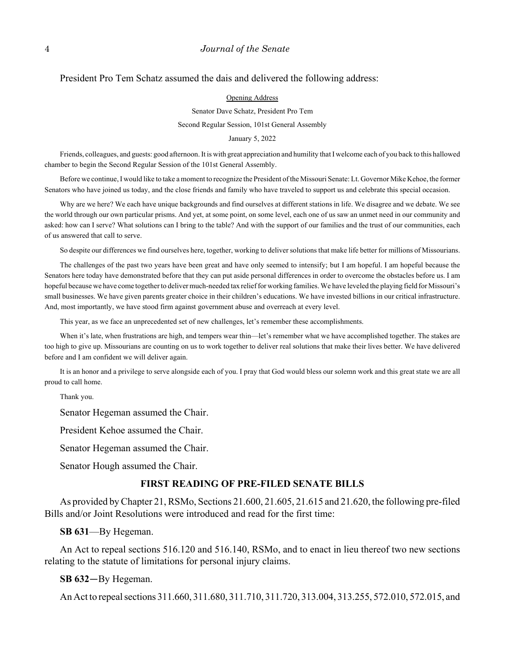### President Pro Tem Schatz assumed the dais and delivered the following address:

Opening Address

Senator Dave Schatz, President Pro Tem Second Regular Session, 101st General Assembly

January 5, 2022

Friends, colleagues, and guests: good afternoon. It is with great appreciation and humility that I welcome each of you back to this hallowed chamber to begin the Second Regular Session of the 101st General Assembly.

Before we continue, I would like to take a moment to recognize the President of the Missouri Senate: Lt. Governor Mike Kehoe, the former Senators who have joined us today, and the close friends and family who have traveled to support us and celebrate this special occasion.

Why are we here? We each have unique backgrounds and find ourselves at different stations in life. We disagree and we debate. We see the world through our own particular prisms. And yet, at some point, on some level, each one of us saw an unmet need in our community and asked: how can I serve? What solutions can I bring to the table? And with the support of our families and the trust of our communities, each of us answered that call to serve.

So despite our differences we find ourselves here, together, working to deliver solutions that make life better for millions of Missourians.

The challenges of the past two years have been great and have only seemed to intensify; but I am hopeful. I am hopeful because the Senators here today have demonstrated before that they can put aside personal differences in order to overcome the obstacles before us. I am hopeful because we have come together to deliver much-needed tax relief for working families. We have leveled the playing field for Missouri's small businesses. We have given parents greater choice in their children's educations. We have invested billions in our critical infrastructure. And, most importantly, we have stood firm against government abuse and overreach at every level.

This year, as we face an unprecedented set of new challenges, let's remember these accomplishments.

When it's late, when frustrations are high, and tempers wear thin—let's remember what we have accomplished together. The stakes are too high to give up. Missourians are counting on us to work together to deliver real solutions that make their lives better. We have delivered before and I am confident we will deliver again.

It is an honor and a privilege to serve alongside each of you. I pray that God would bless our solemn work and this great state we are all proud to call home.

Thank you.

Senator Hegeman assumed the Chair.

President Kehoe assumed the Chair.

Senator Hegeman assumed the Chair.

Senator Hough assumed the Chair.

### **FIRST READING OF PRE-FILED SENATE BILLS**

As provided by Chapter 21, RSMo, Sections 21.600, 21.605, 21.615 and 21.620, the following pre-filed Bills and/or Joint Resolutions were introduced and read for the first time:

**SB 631**—By Hegeman.

An Act to repeal sections 516.120 and 516.140, RSMo, and to enact in lieu thereof two new sections relating to the statute of limitations for personal injury claims.

### **SB 632**—By Hegeman.

An Act to repeal sections 311.660, 311.680, 311.710, 311.720, 313.004, 313.255, 572.010, 572.015, and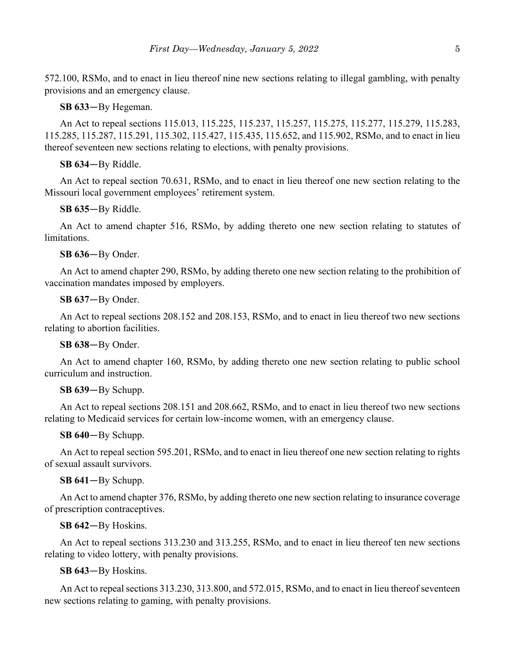572.100, RSMo, and to enact in lieu thereof nine new sections relating to illegal gambling, with penalty provisions and an emergency clause.

**SB 633**—By Hegeman.

An Act to repeal sections 115.013, 115.225, 115.237, 115.257, 115.275, 115.277, 115.279, 115.283, 115.285, 115.287, 115.291, 115.302, 115.427, 115.435, 115.652, and 115.902, RSMo, and to enact in lieu thereof seventeen new sections relating to elections, with penalty provisions.

### **SB 634**—By Riddle.

An Act to repeal section 70.631, RSMo, and to enact in lieu thereof one new section relating to the Missouri local government employees' retirement system.

### **SB 635**—By Riddle.

An Act to amend chapter 516, RSMo, by adding thereto one new section relating to statutes of limitations.

### **SB 636**—By Onder.

An Act to amend chapter 290, RSMo, by adding thereto one new section relating to the prohibition of vaccination mandates imposed by employers.

### **SB 637**—By Onder.

An Act to repeal sections 208.152 and 208.153, RSMo, and to enact in lieu thereof two new sections relating to abortion facilities.

### **SB 638**—By Onder.

An Act to amend chapter 160, RSMo, by adding thereto one new section relating to public school curriculum and instruction.

### **SB 639**—By Schupp.

An Act to repeal sections 208.151 and 208.662, RSMo, and to enact in lieu thereof two new sections relating to Medicaid services for certain low-income women, with an emergency clause.

### **SB 640**—By Schupp.

An Act to repeal section 595.201, RSMo, and to enact in lieu thereof one new section relating to rights of sexual assault survivors.

### **SB 641**—By Schupp.

An Act to amend chapter 376, RSMo, by adding thereto one new section relating to insurance coverage of prescription contraceptives.

### **SB 642**—By Hoskins.

An Act to repeal sections 313.230 and 313.255, RSMo, and to enact in lieu thereof ten new sections relating to video lottery, with penalty provisions.

### **SB 643**—By Hoskins.

An Act to repeal sections 313.230, 313.800, and 572.015, RSMo, and to enact in lieu thereof seventeen new sections relating to gaming, with penalty provisions.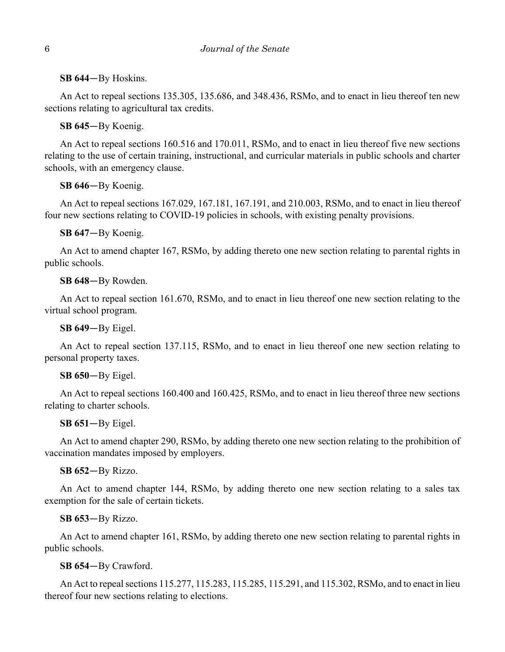**SB 644**—By Hoskins.

An Act to repeal sections 135.305, 135.686, and 348.436, RSMo, and to enact in lieu thereof ten new sections relating to agricultural tax credits.

**SB 645**—By Koenig.

An Act to repeal sections 160.516 and 170.011, RSMo, and to enact in lieu thereof five new sections relating to the use of certain training, instructional, and curricular materials in public schools and charter schools, with an emergency clause.

**SB 646**—By Koenig.

An Act to repeal sections 167.029, 167.181, 167.191, and 210.003, RSMo, and to enact in lieu thereof four new sections relating to COVID-19 policies in schools, with existing penalty provisions.

**SB 647**—By Koenig.

An Act to amend chapter 167, RSMo, by adding thereto one new section relating to parental rights in public schools.

**SB 648**—By Rowden.

An Act to repeal section 161.670, RSMo, and to enact in lieu thereof one new section relating to the virtual school program.

**SB 649**—By Eigel.

An Act to repeal section 137.115, RSMo, and to enact in lieu thereof one new section relating to personal property taxes.

**SB 650**—By Eigel.

An Act to repeal sections 160.400 and 160.425, RSMo, and to enact in lieu thereof three new sections relating to charter schools.

**SB 651**—By Eigel.

An Act to amend chapter 290, RSMo, by adding thereto one new section relating to the prohibition of vaccination mandates imposed by employers.

**SB 652**—By Rizzo.

An Act to amend chapter 144, RSMo, by adding thereto one new section relating to a sales tax exemption for the sale of certain tickets.

**SB 653**—By Rizzo.

An Act to amend chapter 161, RSMo, by adding thereto one new section relating to parental rights in public schools.

**SB 654**—By Crawford.

An Act to repeal sections 115.277, 115.283, 115.285, 115.291, and 115.302, RSMo, and to enact in lieu thereof four new sections relating to elections.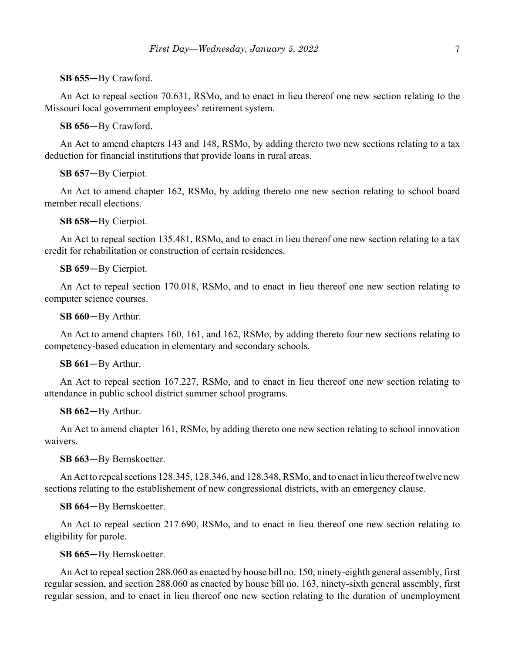### **SB 655**—By Crawford.

An Act to repeal section 70.631, RSMo, and to enact in lieu thereof one new section relating to the Missouri local government employees' retirement system.

**SB 656**—By Crawford.

An Act to amend chapters 143 and 148, RSMo, by adding thereto two new sections relating to a tax deduction for financial institutions that provide loans in rural areas.

**SB 657**—By Cierpiot.

An Act to amend chapter 162, RSMo, by adding thereto one new section relating to school board member recall elections.

**SB 658**—By Cierpiot.

An Act to repeal section 135.481, RSMo, and to enact in lieu thereof one new section relating to a tax credit for rehabilitation or construction of certain residences.

### **SB 659**—By Cierpiot.

An Act to repeal section 170.018, RSMo, and to enact in lieu thereof one new section relating to computer science courses.

**SB 660**—By Arthur.

An Act to amend chapters 160, 161, and 162, RSMo, by adding thereto four new sections relating to competency-based education in elementary and secondary schools.

### **SB 661**—By Arthur.

An Act to repeal section 167.227, RSMo, and to enact in lieu thereof one new section relating to attendance in public school district summer school programs.

### **SB 662**—By Arthur.

An Act to amend chapter 161, RSMo, by adding thereto one new section relating to school innovation waivers.

### **SB 663**—By Bernskoetter.

An Act to repeal sections 128.345, 128.346, and 128.348, RSMo, and to enact in lieu thereof twelve new sections relating to the establishement of new congressional districts, with an emergency clause.

### **SB 664**—By Bernskoetter.

An Act to repeal section 217.690, RSMo, and to enact in lieu thereof one new section relating to eligibility for parole.

### **SB 665**—By Bernskoetter.

An Act to repeal section 288.060 as enacted by house bill no. 150, ninety-eighth general assembly, first regular session, and section 288.060 as enacted by house bill no. 163, ninety-sixth general assembly, first regular session, and to enact in lieu thereof one new section relating to the duration of unemployment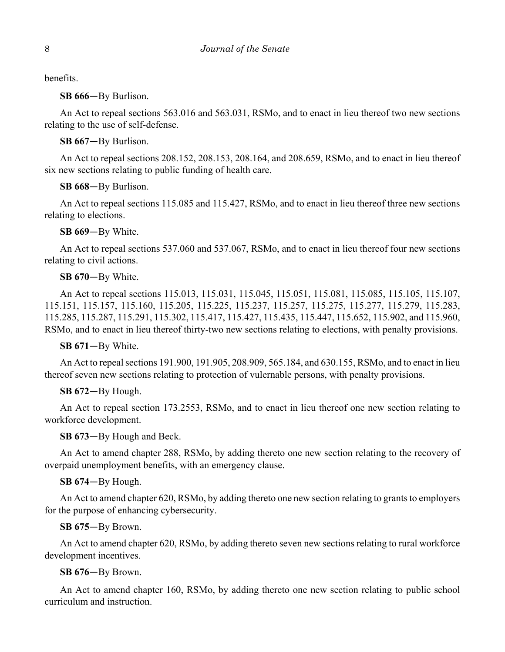benefits.

**SB 666**—By Burlison.

An Act to repeal sections 563.016 and 563.031, RSMo, and to enact in lieu thereof two new sections relating to the use of self-defense.

**SB 667**—By Burlison.

An Act to repeal sections 208.152, 208.153, 208.164, and 208.659, RSMo, and to enact in lieu thereof six new sections relating to public funding of health care.

**SB 668**—By Burlison.

An Act to repeal sections 115.085 and 115.427, RSMo, and to enact in lieu thereof three new sections relating to elections.

**SB 669**—By White.

An Act to repeal sections 537.060 and 537.067, RSMo, and to enact in lieu thereof four new sections relating to civil actions.

**SB 670**—By White.

An Act to repeal sections 115.013, 115.031, 115.045, 115.051, 115.081, 115.085, 115.105, 115.107, 115.151, 115.157, 115.160, 115.205, 115.225, 115.237, 115.257, 115.275, 115.277, 115.279, 115.283, 115.285, 115.287, 115.291, 115.302, 115.417, 115.427, 115.435, 115.447, 115.652, 115.902, and 115.960, RSMo, and to enact in lieu thereof thirty-two new sections relating to elections, with penalty provisions.

**SB 671**—By White.

An Act to repeal sections 191.900, 191.905, 208.909, 565.184, and 630.155, RSMo, and to enact in lieu thereof seven new sections relating to protection of vulernable persons, with penalty provisions.

**SB 672**—By Hough.

An Act to repeal section 173.2553, RSMo, and to enact in lieu thereof one new section relating to workforce development.

**SB 673**—By Hough and Beck.

An Act to amend chapter 288, RSMo, by adding thereto one new section relating to the recovery of overpaid unemployment benefits, with an emergency clause.

**SB 674**—By Hough.

An Act to amend chapter 620, RSMo, by adding thereto one new section relating to grants to employers for the purpose of enhancing cybersecurity.

**SB 675**—By Brown.

An Act to amend chapter 620, RSMo, by adding thereto seven new sections relating to rural workforce development incentives.

**SB 676**—By Brown.

An Act to amend chapter 160, RSMo, by adding thereto one new section relating to public school curriculum and instruction.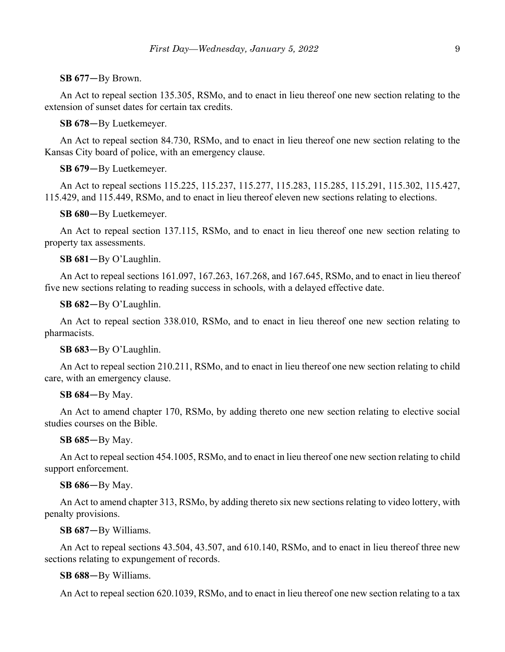### **SB 677**—By Brown.

An Act to repeal section 135.305, RSMo, and to enact in lieu thereof one new section relating to the extension of sunset dates for certain tax credits.

**SB 678**—By Luetkemeyer.

An Act to repeal section 84.730, RSMo, and to enact in lieu thereof one new section relating to the Kansas City board of police, with an emergency clause.

### **SB 679**—By Luetkemeyer.

An Act to repeal sections 115.225, 115.237, 115.277, 115.283, 115.285, 115.291, 115.302, 115.427, 115.429, and 115.449, RSMo, and to enact in lieu thereof eleven new sections relating to elections.

**SB 680**—By Luetkemeyer.

An Act to repeal section 137.115, RSMo, and to enact in lieu thereof one new section relating to property tax assessments.

**SB 681**—By O'Laughlin.

An Act to repeal sections 161.097, 167.263, 167.268, and 167.645, RSMo, and to enact in lieu thereof five new sections relating to reading success in schools, with a delayed effective date.

**SB 682**—By O'Laughlin.

An Act to repeal section 338.010, RSMo, and to enact in lieu thereof one new section relating to pharmacists.

### **SB 683**—By O'Laughlin.

An Act to repeal section 210.211, RSMo, and to enact in lieu thereof one new section relating to child care, with an emergency clause.

### **SB 684**—By May.

An Act to amend chapter 170, RSMo, by adding thereto one new section relating to elective social studies courses on the Bible.

**SB 685**—By May.

An Act to repeal section 454.1005, RSMo, and to enact in lieu thereof one new section relating to child support enforcement.

### **SB 686**—By May.

An Act to amend chapter 313, RSMo, by adding thereto six new sections relating to video lottery, with penalty provisions.

**SB 687**—By Williams.

An Act to repeal sections 43.504, 43.507, and 610.140, RSMo, and to enact in lieu thereof three new sections relating to expungement of records.

**SB 688**—By Williams.

An Act to repeal section 620.1039, RSMo, and to enact in lieu thereof one new section relating to a tax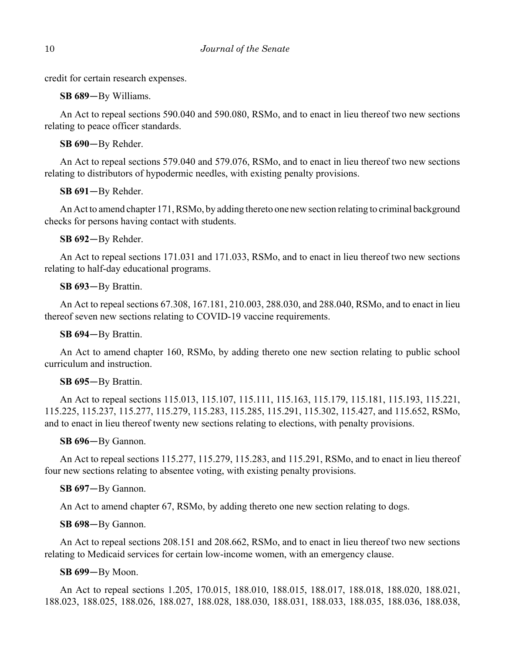credit for certain research expenses.

**SB 689**—By Williams.

An Act to repeal sections 590.040 and 590.080, RSMo, and to enact in lieu thereof two new sections relating to peace officer standards.

**SB 690**—By Rehder.

An Act to repeal sections 579.040 and 579.076, RSMo, and to enact in lieu thereof two new sections relating to distributors of hypodermic needles, with existing penalty provisions.

**SB 691**—By Rehder.

An Act to amend chapter 171, RSMo, by adding thereto one new section relating to criminal background checks for persons having contact with students.

**SB 692**—By Rehder.

An Act to repeal sections 171.031 and 171.033, RSMo, and to enact in lieu thereof two new sections relating to half-day educational programs.

## **SB 693**—By Brattin.

An Act to repeal sections 67.308, 167.181, 210.003, 288.030, and 288.040, RSMo, and to enact in lieu thereof seven new sections relating to COVID-19 vaccine requirements.

**SB 694**—By Brattin.

An Act to amend chapter 160, RSMo, by adding thereto one new section relating to public school curriculum and instruction.

## **SB 695**—By Brattin.

An Act to repeal sections 115.013, 115.107, 115.111, 115.163, 115.179, 115.181, 115.193, 115.221, 115.225, 115.237, 115.277, 115.279, 115.283, 115.285, 115.291, 115.302, 115.427, and 115.652, RSMo, and to enact in lieu thereof twenty new sections relating to elections, with penalty provisions.

## **SB 696**—By Gannon.

An Act to repeal sections 115.277, 115.279, 115.283, and 115.291, RSMo, and to enact in lieu thereof four new sections relating to absentee voting, with existing penalty provisions.

## **SB 697**—By Gannon.

An Act to amend chapter 67, RSMo, by adding thereto one new section relating to dogs.

## **SB 698**—By Gannon.

An Act to repeal sections 208.151 and 208.662, RSMo, and to enact in lieu thereof two new sections relating to Medicaid services for certain low-income women, with an emergency clause.

## **SB 699**—By Moon.

An Act to repeal sections 1.205, 170.015, 188.010, 188.015, 188.017, 188.018, 188.020, 188.021, 188.023, 188.025, 188.026, 188.027, 188.028, 188.030, 188.031, 188.033, 188.035, 188.036, 188.038,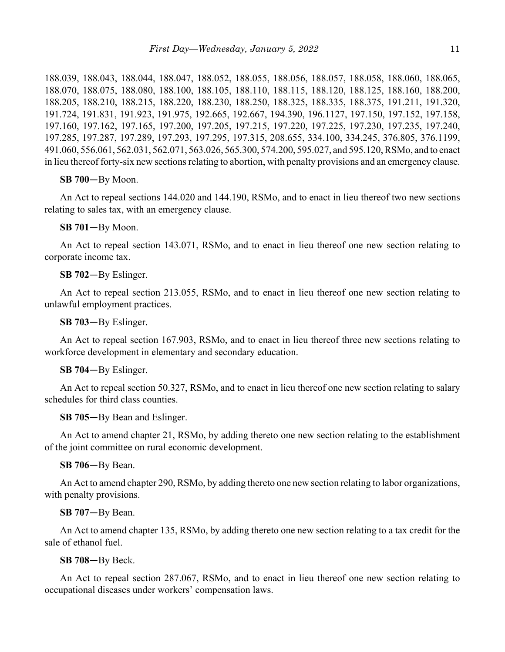188.039, 188.043, 188.044, 188.047, 188.052, 188.055, 188.056, 188.057, 188.058, 188.060, 188.065, 188.070, 188.075, 188.080, 188.100, 188.105, 188.110, 188.115, 188.120, 188.125, 188.160, 188.200, 188.205, 188.210, 188.215, 188.220, 188.230, 188.250, 188.325, 188.335, 188.375, 191.211, 191.320, 191.724, 191.831, 191.923, 191.975, 192.665, 192.667, 194.390, 196.1127, 197.150, 197.152, 197.158, 197.160, 197.162, 197.165, 197.200, 197.205, 197.215, 197.220, 197.225, 197.230, 197.235, 197.240, 197.285, 197.287, 197.289, 197.293, 197.295, 197.315, 208.655, 334.100, 334.245, 376.805, 376.1199, 491.060, 556.061, 562.031, 562.071, 563.026, 565.300, 574.200, 595.027, and 595.120, RSMo, and to enact in lieu thereof forty-six new sections relating to abortion, with penalty provisions and an emergency clause.

**SB 700**—By Moon.

An Act to repeal sections 144.020 and 144.190, RSMo, and to enact in lieu thereof two new sections relating to sales tax, with an emergency clause.

**SB 701**—By Moon.

An Act to repeal section 143.071, RSMo, and to enact in lieu thereof one new section relating to corporate income tax.

**SB 702**—By Eslinger.

An Act to repeal section 213.055, RSMo, and to enact in lieu thereof one new section relating to unlawful employment practices.

**SB 703**—By Eslinger.

An Act to repeal section 167.903, RSMo, and to enact in lieu thereof three new sections relating to workforce development in elementary and secondary education.

**SB 704**—By Eslinger.

An Act to repeal section 50.327, RSMo, and to enact in lieu thereof one new section relating to salary schedules for third class counties.

**SB 705**—By Bean and Eslinger.

An Act to amend chapter 21, RSMo, by adding thereto one new section relating to the establishment of the joint committee on rural economic development.

**SB 706**—By Bean.

An Act to amend chapter 290, RSMo, by adding thereto one new section relating to labor organizations, with penalty provisions.

### **SB 707**—By Bean.

An Act to amend chapter 135, RSMo, by adding thereto one new section relating to a tax credit for the sale of ethanol fuel.

**SB 708**—By Beck.

An Act to repeal section 287.067, RSMo, and to enact in lieu thereof one new section relating to occupational diseases under workers' compensation laws.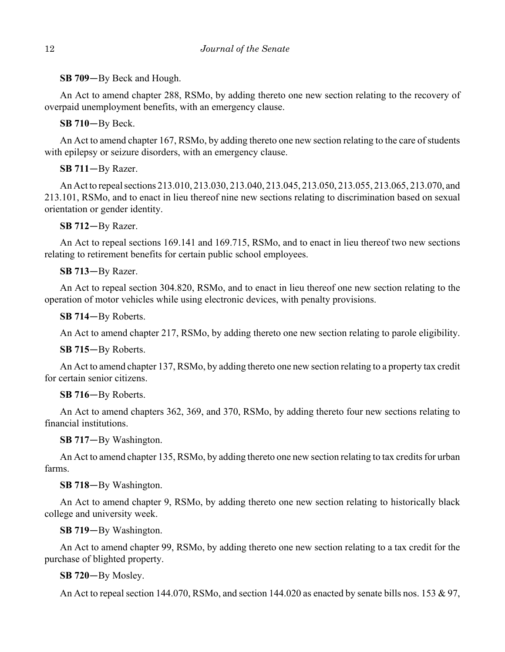**SB 709**—By Beck and Hough.

An Act to amend chapter 288, RSMo, by adding thereto one new section relating to the recovery of overpaid unemployment benefits, with an emergency clause.

**SB 710**—By Beck.

An Act to amend chapter 167, RSMo, by adding thereto one new section relating to the care of students with epilepsy or seizure disorders, with an emergency clause.

**SB 711**—By Razer.

An Act to repeal sections 213.010, 213.030, 213.040, 213.045, 213.050, 213.055, 213.065, 213.070, and 213.101, RSMo, and to enact in lieu thereof nine new sections relating to discrimination based on sexual orientation or gender identity.

**SB 712**—By Razer.

An Act to repeal sections 169.141 and 169.715, RSMo, and to enact in lieu thereof two new sections relating to retirement benefits for certain public school employees.

## **SB 713**—By Razer.

An Act to repeal section 304.820, RSMo, and to enact in lieu thereof one new section relating to the operation of motor vehicles while using electronic devices, with penalty provisions.

**SB 714**—By Roberts.

An Act to amend chapter 217, RSMo, by adding thereto one new section relating to parole eligibility.

**SB 715**—By Roberts.

An Act to amend chapter 137, RSMo, by adding thereto one new section relating to a property tax credit for certain senior citizens.

## **SB 716**—By Roberts.

An Act to amend chapters 362, 369, and 370, RSMo, by adding thereto four new sections relating to financial institutions.

**SB 717**—By Washington.

An Act to amend chapter 135, RSMo, by adding thereto one new section relating to tax credits for urban farms.

**SB 718**—By Washington.

An Act to amend chapter 9, RSMo, by adding thereto one new section relating to historically black college and university week.

**SB 719**—By Washington.

An Act to amend chapter 99, RSMo, by adding thereto one new section relating to a tax credit for the purchase of blighted property.

**SB 720**—By Mosley.

An Act to repeal section 144.070, RSMo, and section 144.020 as enacted by senate bills nos. 153 & 97,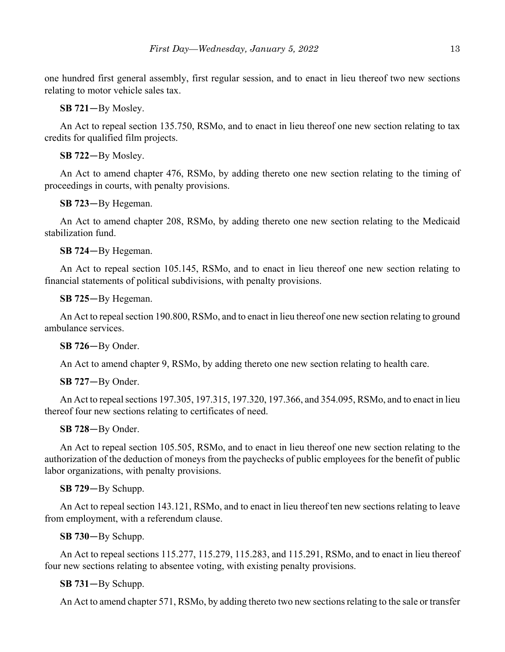one hundred first general assembly, first regular session, and to enact in lieu thereof two new sections relating to motor vehicle sales tax.

**SB 721**—By Mosley.

An Act to repeal section 135.750, RSMo, and to enact in lieu thereof one new section relating to tax credits for qualified film projects.

**SB 722**—By Mosley.

An Act to amend chapter 476, RSMo, by adding thereto one new section relating to the timing of proceedings in courts, with penalty provisions.

**SB 723**—By Hegeman.

An Act to amend chapter 208, RSMo, by adding thereto one new section relating to the Medicaid stabilization fund.

**SB 724**—By Hegeman.

An Act to repeal section 105.145, RSMo, and to enact in lieu thereof one new section relating to financial statements of political subdivisions, with penalty provisions.

**SB 725**—By Hegeman.

An Act to repeal section 190.800, RSMo, and to enact in lieu thereof one new section relating to ground ambulance services.

**SB 726**—By Onder.

An Act to amend chapter 9, RSMo, by adding thereto one new section relating to health care.

**SB 727**—By Onder.

An Act to repeal sections 197.305, 197.315, 197.320, 197.366, and 354.095, RSMo, and to enact in lieu thereof four new sections relating to certificates of need.

**SB 728**—By Onder.

An Act to repeal section 105.505, RSMo, and to enact in lieu thereof one new section relating to the authorization of the deduction of moneys from the paychecks of public employees for the benefit of public labor organizations, with penalty provisions.

**SB 729**—By Schupp.

An Act to repeal section 143.121, RSMo, and to enact in lieu thereof ten new sections relating to leave from employment, with a referendum clause.

**SB 730**—By Schupp.

An Act to repeal sections 115.277, 115.279, 115.283, and 115.291, RSMo, and to enact in lieu thereof four new sections relating to absentee voting, with existing penalty provisions.

**SB 731**—By Schupp.

An Act to amend chapter 571, RSMo, by adding thereto two new sections relating to the sale or transfer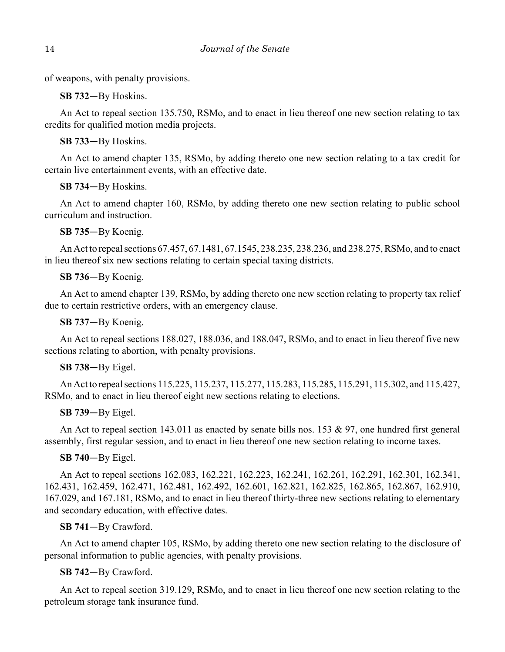of weapons, with penalty provisions.

**SB 732**—By Hoskins.

An Act to repeal section 135.750, RSMo, and to enact in lieu thereof one new section relating to tax credits for qualified motion media projects.

**SB 733**—By Hoskins.

An Act to amend chapter 135, RSMo, by adding thereto one new section relating to a tax credit for certain live entertainment events, with an effective date.

**SB 734**—By Hoskins.

An Act to amend chapter 160, RSMo, by adding thereto one new section relating to public school curriculum and instruction.

**SB 735**—By Koenig.

An Act to repeal sections 67.457, 67.1481, 67.1545, 238.235, 238.236, and 238.275, RSMo, and to enact in lieu thereof six new sections relating to certain special taxing districts.

## **SB 736**—By Koenig.

An Act to amend chapter 139, RSMo, by adding thereto one new section relating to property tax relief due to certain restrictive orders, with an emergency clause.

**SB 737**—By Koenig.

An Act to repeal sections 188.027, 188.036, and 188.047, RSMo, and to enact in lieu thereof five new sections relating to abortion, with penalty provisions.

## **SB 738**—By Eigel.

An Act to repeal sections 115.225, 115.237, 115.277, 115.283, 115.285, 115.291, 115.302, and 115.427, RSMo, and to enact in lieu thereof eight new sections relating to elections.

## **SB 739**—By Eigel.

An Act to repeal section 143.011 as enacted by senate bills nos. 153 & 97, one hundred first general assembly, first regular session, and to enact in lieu thereof one new section relating to income taxes.

## **SB 740**—By Eigel.

An Act to repeal sections 162.083, 162.221, 162.223, 162.241, 162.261, 162.291, 162.301, 162.341, 162.431, 162.459, 162.471, 162.481, 162.492, 162.601, 162.821, 162.825, 162.865, 162.867, 162.910, 167.029, and 167.181, RSMo, and to enact in lieu thereof thirty-three new sections relating to elementary and secondary education, with effective dates.

## **SB 741**—By Crawford.

An Act to amend chapter 105, RSMo, by adding thereto one new section relating to the disclosure of personal information to public agencies, with penalty provisions.

## **SB 742**—By Crawford.

An Act to repeal section 319.129, RSMo, and to enact in lieu thereof one new section relating to the petroleum storage tank insurance fund.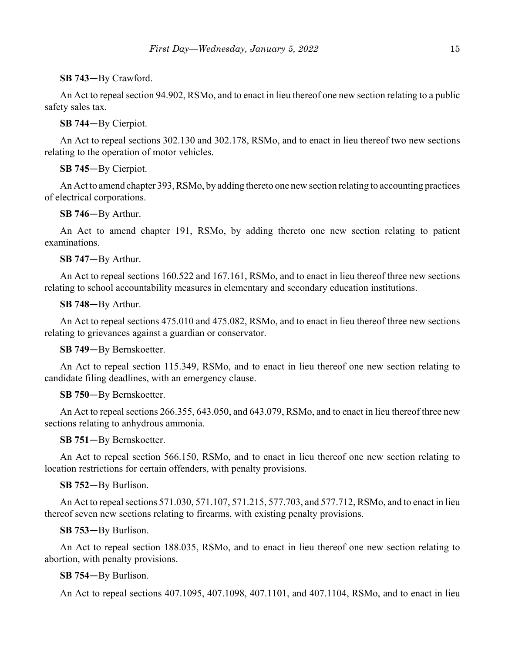## **SB 743**—By Crawford.

An Act to repeal section 94.902, RSMo, and to enact in lieu thereof one new section relating to a public safety sales tax.

## **SB 744**—By Cierpiot.

An Act to repeal sections 302.130 and 302.178, RSMo, and to enact in lieu thereof two new sections relating to the operation of motor vehicles.

## **SB 745**—By Cierpiot.

An Act to amend chapter 393, RSMo, by adding thereto one new section relating to accounting practices of electrical corporations.

## **SB 746**—By Arthur.

An Act to amend chapter 191, RSMo, by adding thereto one new section relating to patient examinations.

## **SB 747**—By Arthur.

An Act to repeal sections 160.522 and 167.161, RSMo, and to enact in lieu thereof three new sections relating to school accountability measures in elementary and secondary education institutions.

### **SB 748**—By Arthur.

An Act to repeal sections 475.010 and 475.082, RSMo, and to enact in lieu thereof three new sections relating to grievances against a guardian or conservator.

### **SB 749**—By Bernskoetter.

An Act to repeal section 115.349, RSMo, and to enact in lieu thereof one new section relating to candidate filing deadlines, with an emergency clause.

### **SB 750**—By Bernskoetter.

An Act to repeal sections 266.355, 643.050, and 643.079, RSMo, and to enact in lieu thereof three new sections relating to anhydrous ammonia.

### **SB 751**—By Bernskoetter.

An Act to repeal section 566.150, RSMo, and to enact in lieu thereof one new section relating to location restrictions for certain offenders, with penalty provisions.

### **SB 752**—By Burlison.

An Act to repeal sections 571.030, 571.107, 571.215, 577.703, and 577.712, RSMo, and to enact in lieu thereof seven new sections relating to firearms, with existing penalty provisions.

### **SB 753**—By Burlison.

An Act to repeal section 188.035, RSMo, and to enact in lieu thereof one new section relating to abortion, with penalty provisions.

## **SB 754**—By Burlison.

An Act to repeal sections 407.1095, 407.1098, 407.1101, and 407.1104, RSMo, and to enact in lieu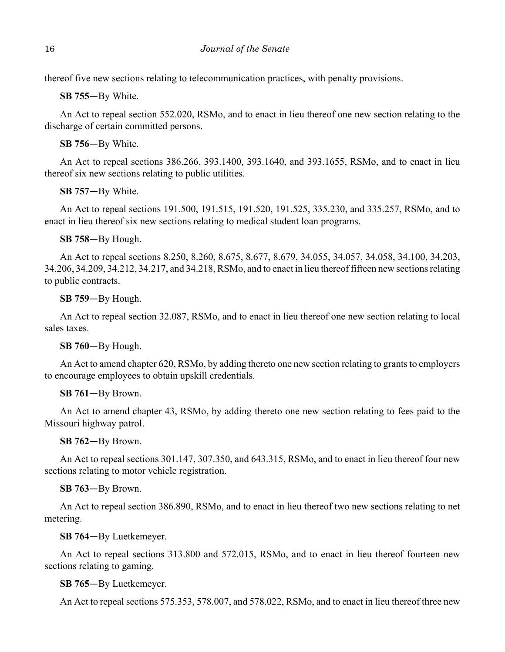thereof five new sections relating to telecommunication practices, with penalty provisions.

**SB 755**—By White.

An Act to repeal section 552.020, RSMo, and to enact in lieu thereof one new section relating to the discharge of certain committed persons.

**SB 756**—By White.

An Act to repeal sections 386.266, 393.1400, 393.1640, and 393.1655, RSMo, and to enact in lieu thereof six new sections relating to public utilities.

**SB 757**—By White.

An Act to repeal sections 191.500, 191.515, 191.520, 191.525, 335.230, and 335.257, RSMo, and to enact in lieu thereof six new sections relating to medical student loan programs.

**SB 758**—By Hough.

An Act to repeal sections 8.250, 8.260, 8.675, 8.677, 8.679, 34.055, 34.057, 34.058, 34.100, 34.203, 34.206, 34.209, 34.212, 34.217, and 34.218, RSMo, and to enact in lieu thereof fifteen new sections relating to public contracts.

**SB 759**—By Hough.

An Act to repeal section 32.087, RSMo, and to enact in lieu thereof one new section relating to local sales taxes.

**SB 760**—By Hough.

An Act to amend chapter 620, RSMo, by adding thereto one new section relating to grants to employers to encourage employees to obtain upskill credentials.

**SB 761**—By Brown.

An Act to amend chapter 43, RSMo, by adding thereto one new section relating to fees paid to the Missouri highway patrol.

**SB 762**—By Brown.

An Act to repeal sections 301.147, 307.350, and 643.315, RSMo, and to enact in lieu thereof four new sections relating to motor vehicle registration.

**SB 763**—By Brown.

An Act to repeal section 386.890, RSMo, and to enact in lieu thereof two new sections relating to net metering.

**SB 764**—By Luetkemeyer.

An Act to repeal sections 313.800 and 572.015, RSMo, and to enact in lieu thereof fourteen new sections relating to gaming.

**SB 765**—By Luetkemeyer.

An Act to repeal sections 575.353, 578.007, and 578.022, RSMo, and to enact in lieu thereof three new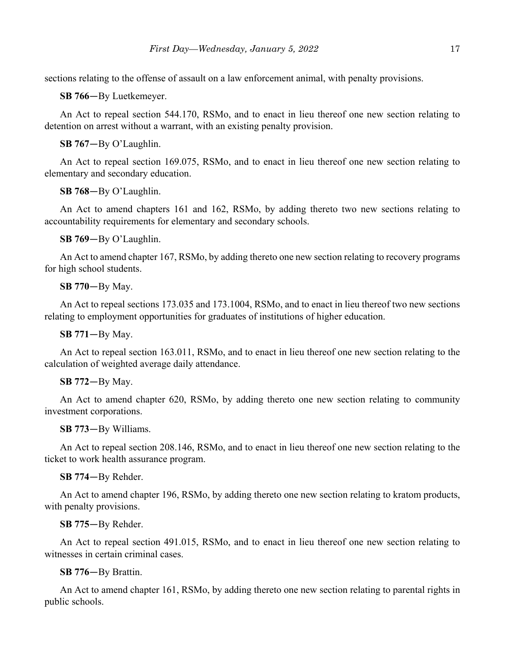sections relating to the offense of assault on a law enforcement animal, with penalty provisions.

**SB 766**—By Luetkemeyer.

An Act to repeal section 544.170, RSMo, and to enact in lieu thereof one new section relating to detention on arrest without a warrant, with an existing penalty provision.

**SB 767**—By O'Laughlin.

An Act to repeal section 169.075, RSMo, and to enact in lieu thereof one new section relating to elementary and secondary education.

**SB 768**—By O'Laughlin.

An Act to amend chapters 161 and 162, RSMo, by adding thereto two new sections relating to accountability requirements for elementary and secondary schools.

**SB 769**—By O'Laughlin.

An Act to amend chapter 167, RSMo, by adding thereto one new section relating to recovery programs for high school students.

**SB 770**—By May.

An Act to repeal sections 173.035 and 173.1004, RSMo, and to enact in lieu thereof two new sections relating to employment opportunities for graduates of institutions of higher education.

**SB 771**—By May.

An Act to repeal section 163.011, RSMo, and to enact in lieu thereof one new section relating to the calculation of weighted average daily attendance.

### **SB 772**—By May.

An Act to amend chapter 620, RSMo, by adding thereto one new section relating to community investment corporations.

**SB 773**—By Williams.

An Act to repeal section 208.146, RSMo, and to enact in lieu thereof one new section relating to the ticket to work health assurance program.

**SB 774**—By Rehder.

An Act to amend chapter 196, RSMo, by adding thereto one new section relating to kratom products, with penalty provisions.

### **SB 775**—By Rehder.

An Act to repeal section 491.015, RSMo, and to enact in lieu thereof one new section relating to witnesses in certain criminal cases.

## **SB 776**—By Brattin.

An Act to amend chapter 161, RSMo, by adding thereto one new section relating to parental rights in public schools.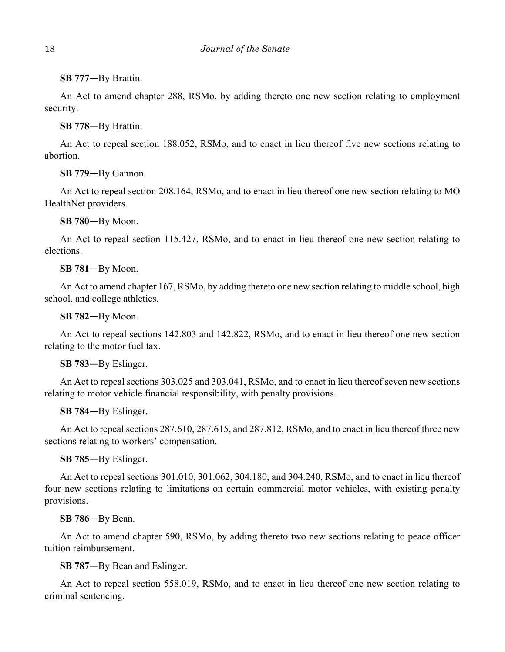**SB 777**—By Brattin.

An Act to amend chapter 288, RSMo, by adding thereto one new section relating to employment security.

**SB 778**—By Brattin.

An Act to repeal section 188.052, RSMo, and to enact in lieu thereof five new sections relating to abortion.

**SB 779**—By Gannon.

An Act to repeal section 208.164, RSMo, and to enact in lieu thereof one new section relating to MO HealthNet providers.

**SB 780**—By Moon.

An Act to repeal section 115.427, RSMo, and to enact in lieu thereof one new section relating to elections.

**SB 781**—By Moon.

An Act to amend chapter 167, RSMo, by adding thereto one new section relating to middle school, high school, and college athletics.

**SB 782**—By Moon.

An Act to repeal sections 142.803 and 142.822, RSMo, and to enact in lieu thereof one new section relating to the motor fuel tax.

**SB 783**—By Eslinger.

An Act to repeal sections 303.025 and 303.041, RSMo, and to enact in lieu thereof seven new sections relating to motor vehicle financial responsibility, with penalty provisions.

**SB 784**—By Eslinger.

An Act to repeal sections 287.610, 287.615, and 287.812, RSMo, and to enact in lieu thereof three new sections relating to workers' compensation.

**SB 785**—By Eslinger.

An Act to repeal sections 301.010, 301.062, 304.180, and 304.240, RSMo, and to enact in lieu thereof four new sections relating to limitations on certain commercial motor vehicles, with existing penalty provisions.

**SB 786**—By Bean.

An Act to amend chapter 590, RSMo, by adding thereto two new sections relating to peace officer tuition reimbursement.

**SB 787**—By Bean and Eslinger.

An Act to repeal section 558.019, RSMo, and to enact in lieu thereof one new section relating to criminal sentencing.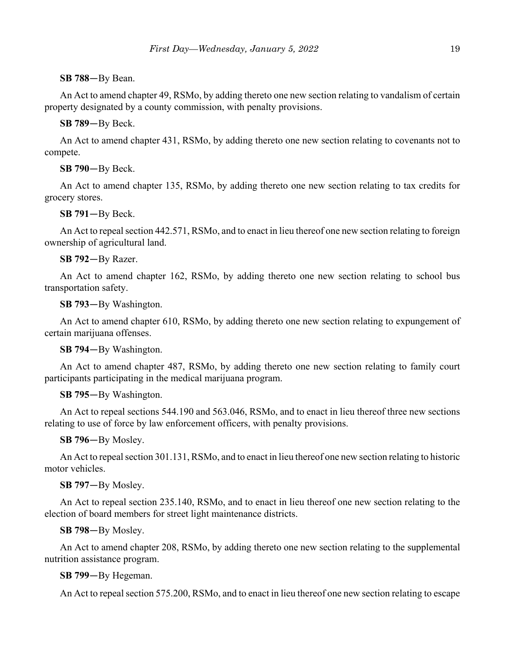### **SB 788**—By Bean.

An Act to amend chapter 49, RSMo, by adding thereto one new section relating to vandalism of certain property designated by a county commission, with penalty provisions.

### **SB 789**—By Beck.

An Act to amend chapter 431, RSMo, by adding thereto one new section relating to covenants not to compete.

### **SB 790**—By Beck.

An Act to amend chapter 135, RSMo, by adding thereto one new section relating to tax credits for grocery stores.

### **SB 791**—By Beck.

An Act to repeal section 442.571, RSMo, and to enact in lieu thereof one new section relating to foreign ownership of agricultural land.

### **SB 792**—By Razer.

An Act to amend chapter 162, RSMo, by adding thereto one new section relating to school bus transportation safety.

**SB 793**—By Washington.

An Act to amend chapter 610, RSMo, by adding thereto one new section relating to expungement of certain marijuana offenses.

### **SB 794**—By Washington.

An Act to amend chapter 487, RSMo, by adding thereto one new section relating to family court participants participating in the medical marijuana program.

### **SB 795**—By Washington.

An Act to repeal sections 544.190 and 563.046, RSMo, and to enact in lieu thereof three new sections relating to use of force by law enforcement officers, with penalty provisions.

**SB 796**—By Mosley.

An Act to repeal section 301.131, RSMo, and to enact in lieu thereof one new section relating to historic motor vehicles.

## **SB 797**—By Mosley.

An Act to repeal section 235.140, RSMo, and to enact in lieu thereof one new section relating to the election of board members for street light maintenance districts.

### **SB 798**—By Mosley.

An Act to amend chapter 208, RSMo, by adding thereto one new section relating to the supplemental nutrition assistance program.

### **SB 799**—By Hegeman.

An Act to repeal section 575.200, RSMo, and to enact in lieu thereof one new section relating to escape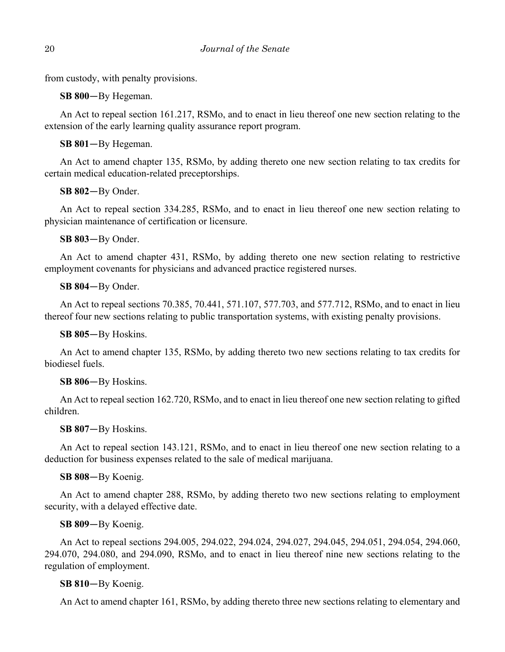from custody, with penalty provisions.

**SB 800**—By Hegeman.

An Act to repeal section 161.217, RSMo, and to enact in lieu thereof one new section relating to the extension of the early learning quality assurance report program.

**SB 801**—By Hegeman.

An Act to amend chapter 135, RSMo, by adding thereto one new section relating to tax credits for certain medical education-related preceptorships.

**SB 802**—By Onder.

An Act to repeal section 334.285, RSMo, and to enact in lieu thereof one new section relating to physician maintenance of certification or licensure.

**SB 803**—By Onder.

An Act to amend chapter 431, RSMo, by adding thereto one new section relating to restrictive employment covenants for physicians and advanced practice registered nurses.

**SB 804**—By Onder.

An Act to repeal sections 70.385, 70.441, 571.107, 577.703, and 577.712, RSMo, and to enact in lieu thereof four new sections relating to public transportation systems, with existing penalty provisions.

**SB 805**—By Hoskins.

An Act to amend chapter 135, RSMo, by adding thereto two new sections relating to tax credits for biodiesel fuels.

## **SB 806**—By Hoskins.

An Act to repeal section 162.720, RSMo, and to enact in lieu thereof one new section relating to gifted children.

**SB 807**—By Hoskins.

An Act to repeal section 143.121, RSMo, and to enact in lieu thereof one new section relating to a deduction for business expenses related to the sale of medical marijuana.

## **SB 808**—By Koenig.

An Act to amend chapter 288, RSMo, by adding thereto two new sections relating to employment security, with a delayed effective date.

## **SB 809**—By Koenig.

An Act to repeal sections 294.005, 294.022, 294.024, 294.027, 294.045, 294.051, 294.054, 294.060, 294.070, 294.080, and 294.090, RSMo, and to enact in lieu thereof nine new sections relating to the regulation of employment.

## **SB 810**—By Koenig.

An Act to amend chapter 161, RSMo, by adding thereto three new sections relating to elementary and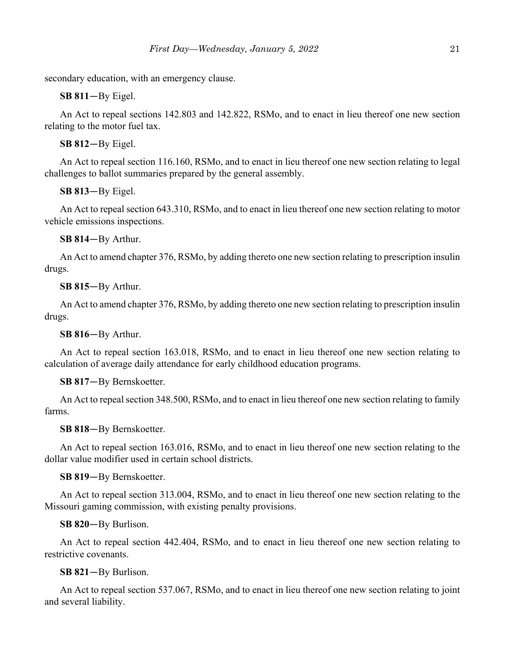secondary education, with an emergency clause.

**SB 811**—By Eigel.

An Act to repeal sections 142.803 and 142.822, RSMo, and to enact in lieu thereof one new section relating to the motor fuel tax.

**SB 812**—By Eigel.

An Act to repeal section 116.160, RSMo, and to enact in lieu thereof one new section relating to legal challenges to ballot summaries prepared by the general assembly.

**SB 813**—By Eigel.

An Act to repeal section 643.310, RSMo, and to enact in lieu thereof one new section relating to motor vehicle emissions inspections.

**SB 814**—By Arthur.

An Act to amend chapter 376, RSMo, by adding thereto one new section relating to prescription insulin drugs.

**SB 815**—By Arthur.

An Act to amend chapter 376, RSMo, by adding thereto one new section relating to prescription insulin drugs.

**SB 816**—By Arthur.

An Act to repeal section 163.018, RSMo, and to enact in lieu thereof one new section relating to calculation of average daily attendance for early childhood education programs.

**SB 817**—By Bernskoetter.

An Act to repeal section 348.500, RSMo, and to enact in lieu thereof one new section relating to family farms.

**SB 818**—By Bernskoetter.

An Act to repeal section 163.016, RSMo, and to enact in lieu thereof one new section relating to the dollar value modifier used in certain school districts.

**SB 819**—By Bernskoetter.

An Act to repeal section 313.004, RSMo, and to enact in lieu thereof one new section relating to the Missouri gaming commission, with existing penalty provisions.

**SB 820**—By Burlison.

An Act to repeal section 442.404, RSMo, and to enact in lieu thereof one new section relating to restrictive covenants.

### **SB 821**—By Burlison.

An Act to repeal section 537.067, RSMo, and to enact in lieu thereof one new section relating to joint and several liability.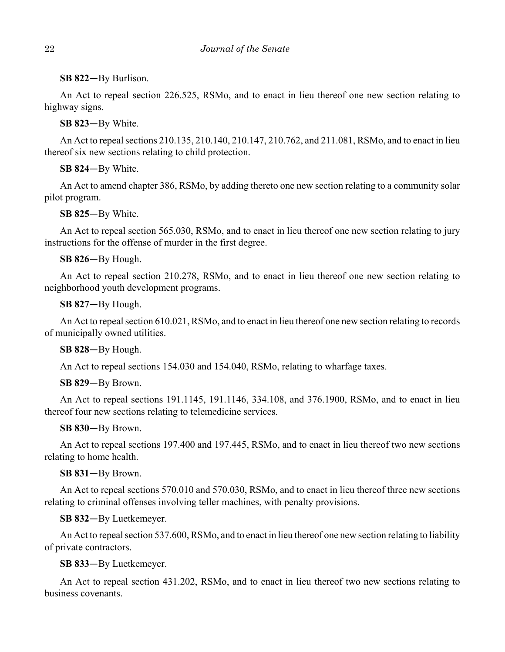## **SB 822**—By Burlison.

An Act to repeal section 226.525, RSMo, and to enact in lieu thereof one new section relating to highway signs.

**SB 823**—By White.

An Act to repeal sections 210.135, 210.140, 210.147, 210.762, and 211.081, RSMo, and to enact in lieu thereof six new sections relating to child protection.

**SB 824**—By White.

An Act to amend chapter 386, RSMo, by adding thereto one new section relating to a community solar pilot program.

**SB 825**—By White.

An Act to repeal section 565.030, RSMo, and to enact in lieu thereof one new section relating to jury instructions for the offense of murder in the first degree.

## **SB 826**—By Hough.

An Act to repeal section 210.278, RSMo, and to enact in lieu thereof one new section relating to neighborhood youth development programs.

**SB 827**—By Hough.

An Act to repeal section 610.021, RSMo, and to enact in lieu thereof one new section relating to records of municipally owned utilities.

## **SB 828**—By Hough.

An Act to repeal sections 154.030 and 154.040, RSMo, relating to wharfage taxes.

## **SB 829**—By Brown.

An Act to repeal sections 191.1145, 191.1146, 334.108, and 376.1900, RSMo, and to enact in lieu thereof four new sections relating to telemedicine services.

## **SB 830**—By Brown.

An Act to repeal sections 197.400 and 197.445, RSMo, and to enact in lieu thereof two new sections relating to home health.

## **SB 831**—By Brown.

An Act to repeal sections 570.010 and 570.030, RSMo, and to enact in lieu thereof three new sections relating to criminal offenses involving teller machines, with penalty provisions.

## **SB 832**—By Luetkemeyer.

An Act to repeal section 537.600, RSMo, and to enact in lieu thereof one new section relating to liability of private contractors.

## **SB 833**—By Luetkemeyer.

An Act to repeal section 431.202, RSMo, and to enact in lieu thereof two new sections relating to business covenants.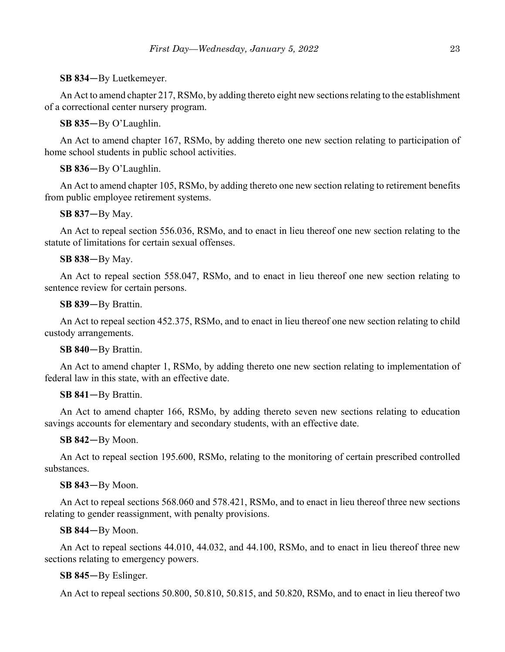## **SB 834**—By Luetkemeyer.

An Act to amend chapter 217, RSMo, by adding thereto eight new sections relating to the establishment of a correctional center nursery program.

## **SB 835**—By O'Laughlin.

An Act to amend chapter 167, RSMo, by adding thereto one new section relating to participation of home school students in public school activities.

## **SB 836**—By O'Laughlin.

An Act to amend chapter 105, RSMo, by adding thereto one new section relating to retirement benefits from public employee retirement systems.

## **SB 837**—By May.

An Act to repeal section 556.036, RSMo, and to enact in lieu thereof one new section relating to the statute of limitations for certain sexual offenses.

## **SB 838**—By May.

An Act to repeal section 558.047, RSMo, and to enact in lieu thereof one new section relating to sentence review for certain persons.

## **SB 839**—By Brattin.

An Act to repeal section 452.375, RSMo, and to enact in lieu thereof one new section relating to child custody arrangements.

## **SB 840**—By Brattin.

An Act to amend chapter 1, RSMo, by adding thereto one new section relating to implementation of federal law in this state, with an effective date.

## **SB 841**—By Brattin.

An Act to amend chapter 166, RSMo, by adding thereto seven new sections relating to education savings accounts for elementary and secondary students, with an effective date.

## **SB 842**—By Moon.

An Act to repeal section 195.600, RSMo, relating to the monitoring of certain prescribed controlled substances.

## **SB 843**—By Moon.

An Act to repeal sections 568.060 and 578.421, RSMo, and to enact in lieu thereof three new sections relating to gender reassignment, with penalty provisions.

## **SB 844**—By Moon.

An Act to repeal sections 44.010, 44.032, and 44.100, RSMo, and to enact in lieu thereof three new sections relating to emergency powers.

## **SB 845**—By Eslinger.

An Act to repeal sections 50.800, 50.810, 50.815, and 50.820, RSMo, and to enact in lieu thereof two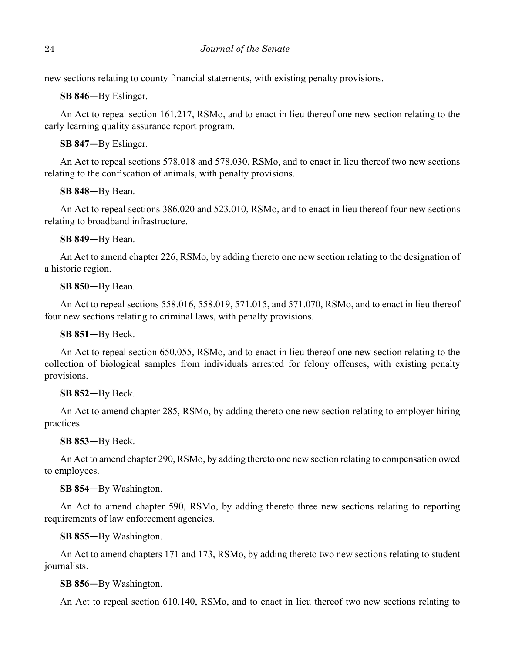new sections relating to county financial statements, with existing penalty provisions.

**SB 846**—By Eslinger.

An Act to repeal section 161.217, RSMo, and to enact in lieu thereof one new section relating to the early learning quality assurance report program.

**SB 847**—By Eslinger.

An Act to repeal sections 578.018 and 578.030, RSMo, and to enact in lieu thereof two new sections relating to the confiscation of animals, with penalty provisions.

**SB 848**—By Bean.

An Act to repeal sections 386.020 and 523.010, RSMo, and to enact in lieu thereof four new sections relating to broadband infrastructure.

**SB 849**—By Bean.

An Act to amend chapter 226, RSMo, by adding thereto one new section relating to the designation of a historic region.

**SB 850**—By Bean.

An Act to repeal sections 558.016, 558.019, 571.015, and 571.070, RSMo, and to enact in lieu thereof four new sections relating to criminal laws, with penalty provisions.

**SB 851**—By Beck.

An Act to repeal section 650.055, RSMo, and to enact in lieu thereof one new section relating to the collection of biological samples from individuals arrested for felony offenses, with existing penalty provisions.

**SB 852**—By Beck.

An Act to amend chapter 285, RSMo, by adding thereto one new section relating to employer hiring practices.

**SB 853**—By Beck.

An Act to amend chapter 290, RSMo, by adding thereto one new section relating to compensation owed to employees.

**SB 854**—By Washington.

An Act to amend chapter 590, RSMo, by adding thereto three new sections relating to reporting requirements of law enforcement agencies.

**SB 855**—By Washington.

An Act to amend chapters 171 and 173, RSMo, by adding thereto two new sections relating to student journalists.

**SB 856**—By Washington.

An Act to repeal section 610.140, RSMo, and to enact in lieu thereof two new sections relating to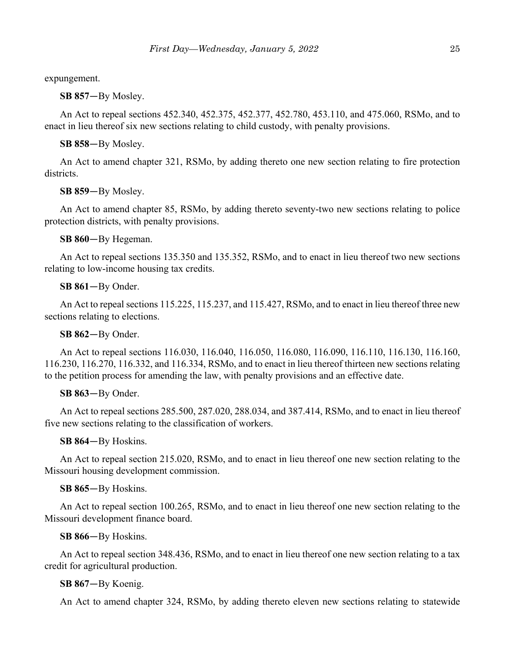expungement.

**SB 857**—By Mosley.

An Act to repeal sections 452.340, 452.375, 452.377, 452.780, 453.110, and 475.060, RSMo, and to enact in lieu thereof six new sections relating to child custody, with penalty provisions.

**SB 858**—By Mosley.

An Act to amend chapter 321, RSMo, by adding thereto one new section relating to fire protection districts.

## **SB 859**—By Mosley.

An Act to amend chapter 85, RSMo, by adding thereto seventy-two new sections relating to police protection districts, with penalty provisions.

**SB 860**—By Hegeman.

An Act to repeal sections 135.350 and 135.352, RSMo, and to enact in lieu thereof two new sections relating to low-income housing tax credits.

**SB 861**—By Onder.

An Act to repeal sections 115.225, 115.237, and 115.427, RSMo, and to enact in lieu thereof three new sections relating to elections.

### **SB 862**—By Onder.

An Act to repeal sections 116.030, 116.040, 116.050, 116.080, 116.090, 116.110, 116.130, 116.160, 116.230, 116.270, 116.332, and 116.334, RSMo, and to enact in lieu thereof thirteen new sections relating to the petition process for amending the law, with penalty provisions and an effective date.

### **SB 863**—By Onder.

An Act to repeal sections 285.500, 287.020, 288.034, and 387.414, RSMo, and to enact in lieu thereof five new sections relating to the classification of workers.

### **SB 864**—By Hoskins.

An Act to repeal section 215.020, RSMo, and to enact in lieu thereof one new section relating to the Missouri housing development commission.

### **SB 865**—By Hoskins.

An Act to repeal section 100.265, RSMo, and to enact in lieu thereof one new section relating to the Missouri development finance board.

**SB 866**—By Hoskins.

An Act to repeal section 348.436, RSMo, and to enact in lieu thereof one new section relating to a tax credit for agricultural production.

### **SB 867**—By Koenig.

An Act to amend chapter 324, RSMo, by adding thereto eleven new sections relating to statewide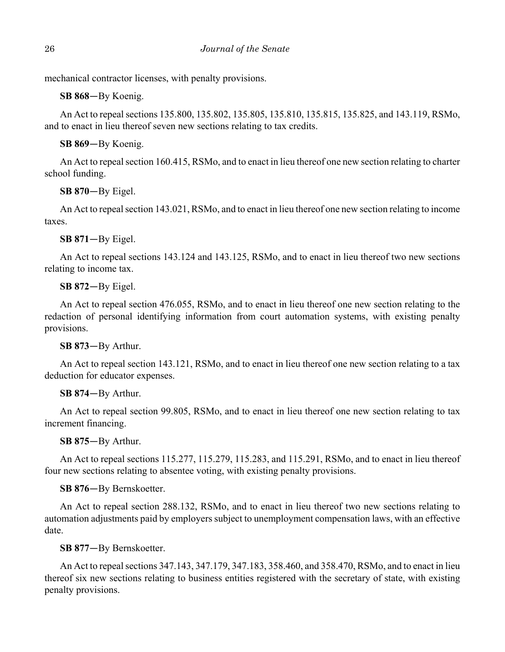mechanical contractor licenses, with penalty provisions.

**SB 868**—By Koenig.

An Act to repeal sections 135.800, 135.802, 135.805, 135.810, 135.815, 135.825, and 143.119, RSMo, and to enact in lieu thereof seven new sections relating to tax credits.

**SB 869**—By Koenig.

An Act to repeal section 160.415, RSMo, and to enact in lieu thereof one new section relating to charter school funding.

**SB 870**—By Eigel.

An Act to repeal section 143.021, RSMo, and to enact in lieu thereof one new section relating to income taxes.

**SB 871**—By Eigel.

An Act to repeal sections 143.124 and 143.125, RSMo, and to enact in lieu thereof two new sections relating to income tax.

**SB 872**—By Eigel.

An Act to repeal section 476.055, RSMo, and to enact in lieu thereof one new section relating to the redaction of personal identifying information from court automation systems, with existing penalty provisions.

**SB 873**—By Arthur.

An Act to repeal section 143.121, RSMo, and to enact in lieu thereof one new section relating to a tax deduction for educator expenses.

**SB 874**—By Arthur.

An Act to repeal section 99.805, RSMo, and to enact in lieu thereof one new section relating to tax increment financing.

**SB 875**—By Arthur.

An Act to repeal sections 115.277, 115.279, 115.283, and 115.291, RSMo, and to enact in lieu thereof four new sections relating to absentee voting, with existing penalty provisions.

**SB 876**—By Bernskoetter.

An Act to repeal section 288.132, RSMo, and to enact in lieu thereof two new sections relating to automation adjustments paid by employers subject to unemployment compensation laws, with an effective date.

**SB 877**—By Bernskoetter.

An Act to repeal sections 347.143, 347.179, 347.183, 358.460, and 358.470, RSMo, and to enact in lieu thereof six new sections relating to business entities registered with the secretary of state, with existing penalty provisions.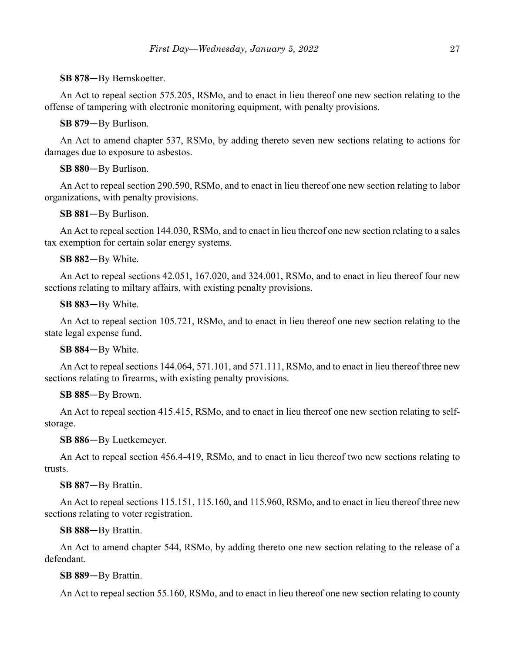### **SB 878**—By Bernskoetter.

An Act to repeal section 575.205, RSMo, and to enact in lieu thereof one new section relating to the offense of tampering with electronic monitoring equipment, with penalty provisions.

**SB 879**—By Burlison.

An Act to amend chapter 537, RSMo, by adding thereto seven new sections relating to actions for damages due to exposure to asbestos.

### **SB 880**—By Burlison.

An Act to repeal section 290.590, RSMo, and to enact in lieu thereof one new section relating to labor organizations, with penalty provisions.

**SB 881**—By Burlison.

An Act to repeal section 144.030, RSMo, and to enact in lieu thereof one new section relating to a sales tax exemption for certain solar energy systems.

### **SB 882**—By White.

An Act to repeal sections 42.051, 167.020, and 324.001, RSMo, and to enact in lieu thereof four new sections relating to miltary affairs, with existing penalty provisions.

**SB 883**—By White.

An Act to repeal section 105.721, RSMo, and to enact in lieu thereof one new section relating to the state legal expense fund.

### **SB 884**—By White.

An Act to repeal sections 144.064, 571.101, and 571.111, RSMo, and to enact in lieu thereof three new sections relating to firearms, with existing penalty provisions.

### **SB 885**—By Brown.

An Act to repeal section 415.415, RSMo, and to enact in lieu thereof one new section relating to selfstorage.

**SB 886**—By Luetkemeyer.

An Act to repeal section 456.4-419, RSMo, and to enact in lieu thereof two new sections relating to trusts.

### **SB 887**—By Brattin.

An Act to repeal sections 115.151, 115.160, and 115.960, RSMo, and to enact in lieu thereof three new sections relating to voter registration.

### **SB 888**—By Brattin.

An Act to amend chapter 544, RSMo, by adding thereto one new section relating to the release of a defendant.

### **SB 889**—By Brattin.

An Act to repeal section 55.160, RSMo, and to enact in lieu thereof one new section relating to county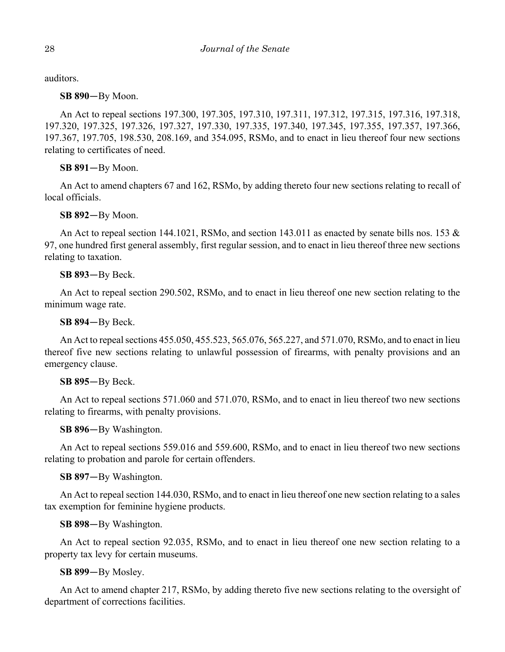auditors.

**SB 890**—By Moon.

An Act to repeal sections 197.300, 197.305, 197.310, 197.311, 197.312, 197.315, 197.316, 197.318, 197.320, 197.325, 197.326, 197.327, 197.330, 197.335, 197.340, 197.345, 197.355, 197.357, 197.366, 197.367, 197.705, 198.530, 208.169, and 354.095, RSMo, and to enact in lieu thereof four new sections relating to certificates of need.

**SB 891**—By Moon.

An Act to amend chapters 67 and 162, RSMo, by adding thereto four new sections relating to recall of local officials.

**SB 892**—By Moon.

An Act to repeal section 144.1021, RSMo, and section 143.011 as enacted by senate bills nos. 153 & 97, one hundred first general assembly, first regular session, and to enact in lieu thereof three new sections relating to taxation.

**SB 893**—By Beck.

An Act to repeal section 290.502, RSMo, and to enact in lieu thereof one new section relating to the minimum wage rate.

**SB 894**—By Beck.

An Act to repeal sections 455.050, 455.523, 565.076, 565.227, and 571.070, RSMo, and to enact in lieu thereof five new sections relating to unlawful possession of firearms, with penalty provisions and an emergency clause.

## **SB 895**—By Beck.

An Act to repeal sections 571.060 and 571.070, RSMo, and to enact in lieu thereof two new sections relating to firearms, with penalty provisions.

**SB 896**—By Washington.

An Act to repeal sections 559.016 and 559.600, RSMo, and to enact in lieu thereof two new sections relating to probation and parole for certain offenders.

**SB 897**—By Washington.

An Act to repeal section 144.030, RSMo, and to enact in lieu thereof one new section relating to a sales tax exemption for feminine hygiene products.

**SB 898**—By Washington.

An Act to repeal section 92.035, RSMo, and to enact in lieu thereof one new section relating to a property tax levy for certain museums.

**SB 899**—By Mosley.

An Act to amend chapter 217, RSMo, by adding thereto five new sections relating to the oversight of department of corrections facilities.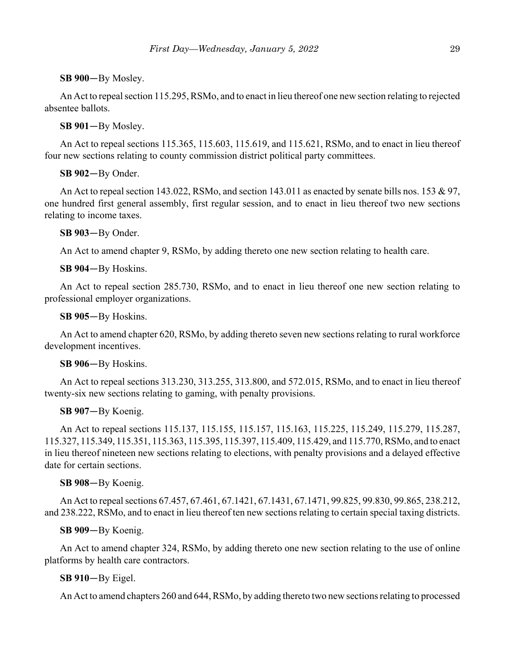## **SB 900**—By Mosley.

An Act to repeal section 115.295, RSMo, and to enact in lieu thereof one new section relating to rejected absentee ballots.

**SB 901**—By Mosley.

An Act to repeal sections 115.365, 115.603, 115.619, and 115.621, RSMo, and to enact in lieu thereof four new sections relating to county commission district political party committees.

**SB 902**—By Onder.

An Act to repeal section 143.022, RSMo, and section 143.011 as enacted by senate bills nos. 153 & 97, one hundred first general assembly, first regular session, and to enact in lieu thereof two new sections relating to income taxes.

**SB 903**—By Onder.

An Act to amend chapter 9, RSMo, by adding thereto one new section relating to health care.

**SB 904**—By Hoskins.

An Act to repeal section 285.730, RSMo, and to enact in lieu thereof one new section relating to professional employer organizations.

**SB 905**—By Hoskins.

An Act to amend chapter 620, RSMo, by adding thereto seven new sections relating to rural workforce development incentives.

**SB 906**—By Hoskins.

An Act to repeal sections 313.230, 313.255, 313.800, and 572.015, RSMo, and to enact in lieu thereof twenty-six new sections relating to gaming, with penalty provisions.

**SB 907**—By Koenig.

An Act to repeal sections 115.137, 115.155, 115.157, 115.163, 115.225, 115.249, 115.279, 115.287, 115.327, 115.349, 115.351, 115.363, 115.395, 115.397, 115.409, 115.429, and 115.770, RSMo, and to enact in lieu thereof nineteen new sections relating to elections, with penalty provisions and a delayed effective date for certain sections.

### **SB 908**—By Koenig.

An Act to repeal sections 67.457, 67.461, 67.1421, 67.1431, 67.1471, 99.825, 99.830, 99.865, 238.212, and 238.222, RSMo, and to enact in lieu thereof ten new sections relating to certain special taxing districts.

**SB 909**—By Koenig.

An Act to amend chapter 324, RSMo, by adding thereto one new section relating to the use of online platforms by health care contractors.

## **SB 910**—By Eigel.

An Act to amend chapters 260 and 644, RSMo, by adding thereto two new sections relating to processed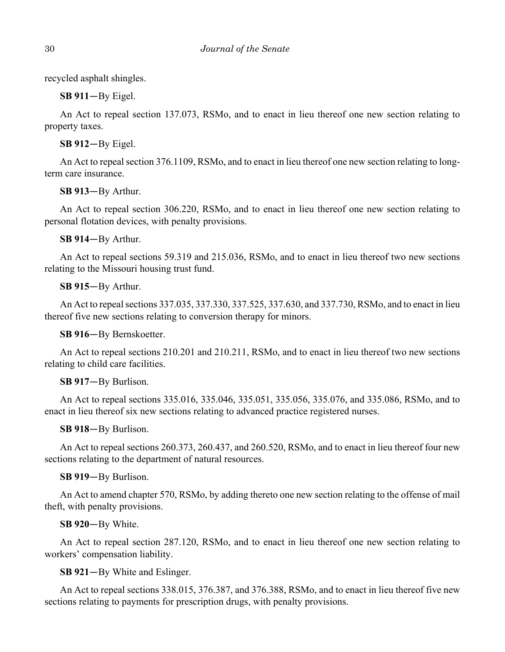recycled asphalt shingles.

**SB 911**—By Eigel.

An Act to repeal section 137.073, RSMo, and to enact in lieu thereof one new section relating to property taxes.

**SB 912**—By Eigel.

An Act to repeal section 376.1109, RSMo, and to enact in lieu thereof one new section relating to longterm care insurance.

**SB 913**—By Arthur.

An Act to repeal section 306.220, RSMo, and to enact in lieu thereof one new section relating to personal flotation devices, with penalty provisions.

**SB 914**—By Arthur.

An Act to repeal sections 59.319 and 215.036, RSMo, and to enact in lieu thereof two new sections relating to the Missouri housing trust fund.

**SB 915**—By Arthur.

An Act to repeal sections 337.035, 337.330, 337.525, 337.630, and 337.730, RSMo, and to enact in lieu thereof five new sections relating to conversion therapy for minors.

**SB 916**—By Bernskoetter.

An Act to repeal sections 210.201 and 210.211, RSMo, and to enact in lieu thereof two new sections relating to child care facilities.

## **SB 917**—By Burlison.

An Act to repeal sections 335.016, 335.046, 335.051, 335.056, 335.076, and 335.086, RSMo, and to enact in lieu thereof six new sections relating to advanced practice registered nurses.

**SB 918**—By Burlison.

An Act to repeal sections 260.373, 260.437, and 260.520, RSMo, and to enact in lieu thereof four new sections relating to the department of natural resources.

## **SB 919**—By Burlison.

An Act to amend chapter 570, RSMo, by adding thereto one new section relating to the offense of mail theft, with penalty provisions.

### **SB 920**—By White.

An Act to repeal section 287.120, RSMo, and to enact in lieu thereof one new section relating to workers' compensation liability.

**SB 921**—By White and Eslinger.

An Act to repeal sections 338.015, 376.387, and 376.388, RSMo, and to enact in lieu thereof five new sections relating to payments for prescription drugs, with penalty provisions.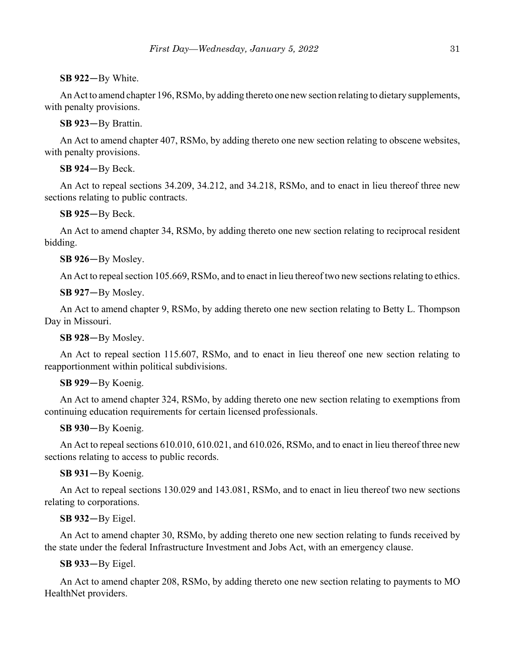## **SB 922**—By White.

An Act to amend chapter 196, RSMo, by adding thereto one new section relating to dietary supplements, with penalty provisions.

**SB 923**—By Brattin.

An Act to amend chapter 407, RSMo, by adding thereto one new section relating to obscene websites, with penalty provisions.

**SB 924**—By Beck.

An Act to repeal sections 34.209, 34.212, and 34.218, RSMo, and to enact in lieu thereof three new sections relating to public contracts.

**SB 925**—By Beck.

An Act to amend chapter 34, RSMo, by adding thereto one new section relating to reciprocal resident bidding.

**SB 926**—By Mosley.

An Act to repeal section 105.669, RSMo, and to enact in lieu thereof two new sections relating to ethics.

**SB 927**—By Mosley.

An Act to amend chapter 9, RSMo, by adding thereto one new section relating to Betty L. Thompson Day in Missouri.

**SB 928**—By Mosley.

An Act to repeal section 115.607, RSMo, and to enact in lieu thereof one new section relating to reapportionment within political subdivisions.

### **SB 929**—By Koenig.

An Act to amend chapter 324, RSMo, by adding thereto one new section relating to exemptions from continuing education requirements for certain licensed professionals.

**SB 930**—By Koenig.

An Act to repeal sections 610.010, 610.021, and 610.026, RSMo, and to enact in lieu thereof three new sections relating to access to public records.

**SB 931**—By Koenig.

An Act to repeal sections 130.029 and 143.081, RSMo, and to enact in lieu thereof two new sections relating to corporations.

**SB 932**—By Eigel.

An Act to amend chapter 30, RSMo, by adding thereto one new section relating to funds received by the state under the federal Infrastructure Investment and Jobs Act, with an emergency clause.

**SB 933**—By Eigel.

An Act to amend chapter 208, RSMo, by adding thereto one new section relating to payments to MO HealthNet providers.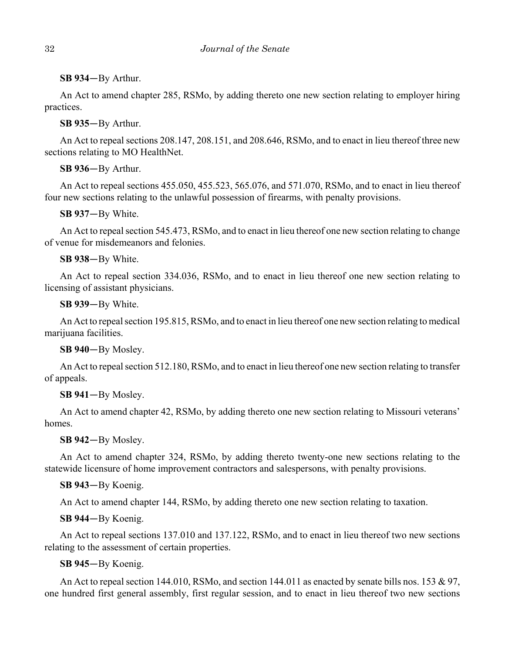**SB 934**—By Arthur.

An Act to amend chapter 285, RSMo, by adding thereto one new section relating to employer hiring practices.

**SB 935**—By Arthur.

An Act to repeal sections 208.147, 208.151, and 208.646, RSMo, and to enact in lieu thereof three new sections relating to MO HealthNet.

**SB 936**—By Arthur.

An Act to repeal sections 455.050, 455.523, 565.076, and 571.070, RSMo, and to enact in lieu thereof four new sections relating to the unlawful possession of firearms, with penalty provisions.

**SB 937**—By White.

An Act to repeal section 545.473, RSMo, and to enact in lieu thereof one new section relating to change of venue for misdemeanors and felonies.

**SB 938**—By White.

An Act to repeal section 334.036, RSMo, and to enact in lieu thereof one new section relating to licensing of assistant physicians.

**SB 939**—By White.

An Act to repeal section 195.815, RSMo, and to enact in lieu thereof one new section relating to medical marijuana facilities.

**SB 940**—By Mosley.

An Act to repeal section 512.180, RSMo, and to enact in lieu thereof one new section relating to transfer of appeals.

**SB 941**—By Mosley.

An Act to amend chapter 42, RSMo, by adding thereto one new section relating to Missouri veterans' homes.

**SB 942**—By Mosley.

An Act to amend chapter 324, RSMo, by adding thereto twenty-one new sections relating to the statewide licensure of home improvement contractors and salespersons, with penalty provisions.

**SB 943**—By Koenig.

An Act to amend chapter 144, RSMo, by adding thereto one new section relating to taxation.

**SB 944**—By Koenig.

An Act to repeal sections 137.010 and 137.122, RSMo, and to enact in lieu thereof two new sections relating to the assessment of certain properties.

**SB 945**—By Koenig.

An Act to repeal section 144.010, RSMo, and section 144.011 as enacted by senate bills nos. 153 & 97, one hundred first general assembly, first regular session, and to enact in lieu thereof two new sections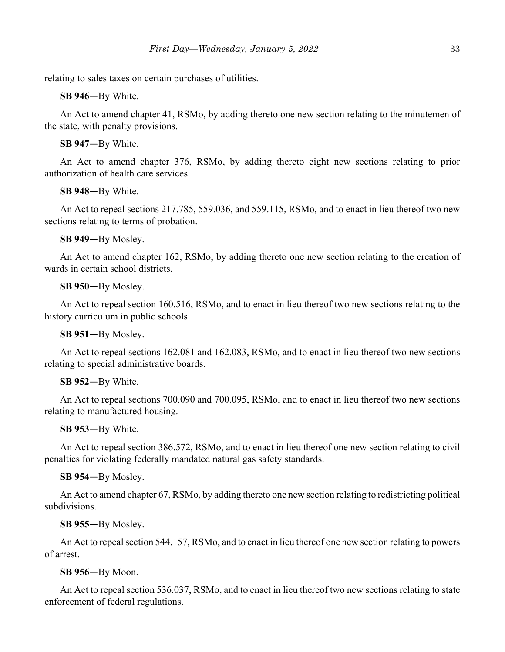relating to sales taxes on certain purchases of utilities.

**SB 946**—By White.

An Act to amend chapter 41, RSMo, by adding thereto one new section relating to the minutemen of the state, with penalty provisions.

**SB 947**—By White.

An Act to amend chapter 376, RSMo, by adding thereto eight new sections relating to prior authorization of health care services.

**SB 948**—By White.

An Act to repeal sections 217.785, 559.036, and 559.115, RSMo, and to enact in lieu thereof two new sections relating to terms of probation.

**SB 949**—By Mosley.

An Act to amend chapter 162, RSMo, by adding thereto one new section relating to the creation of wards in certain school districts.

**SB 950**—By Mosley.

An Act to repeal section 160.516, RSMo, and to enact in lieu thereof two new sections relating to the history curriculum in public schools.

**SB 951**—By Mosley.

An Act to repeal sections 162.081 and 162.083, RSMo, and to enact in lieu thereof two new sections relating to special administrative boards.

### **SB 952**—By White.

An Act to repeal sections 700.090 and 700.095, RSMo, and to enact in lieu thereof two new sections relating to manufactured housing.

**SB 953**—By White.

An Act to repeal section 386.572, RSMo, and to enact in lieu thereof one new section relating to civil penalties for violating federally mandated natural gas safety standards.

**SB 954**—By Mosley.

An Act to amend chapter 67, RSMo, by adding thereto one new section relating to redistricting political subdivisions.

**SB 955**—By Mosley.

An Act to repeal section 544.157, RSMo, and to enact in lieu thereof one new section relating to powers of arrest.

**SB 956**—By Moon.

An Act to repeal section 536.037, RSMo, and to enact in lieu thereof two new sections relating to state enforcement of federal regulations.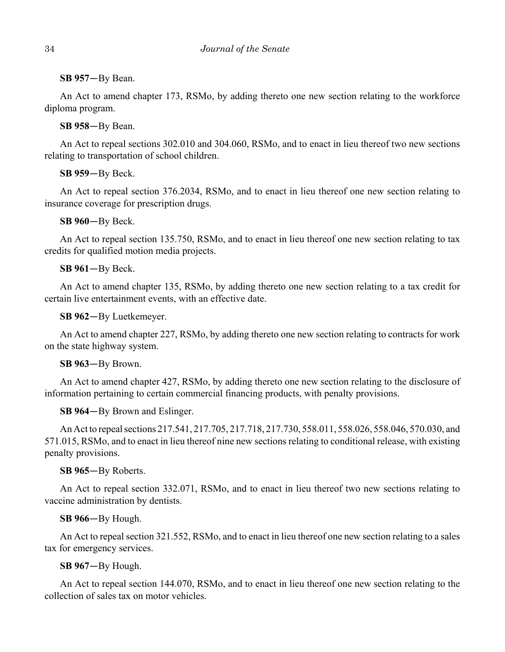## **SB 957**—By Bean.

An Act to amend chapter 173, RSMo, by adding thereto one new section relating to the workforce diploma program.

## **SB 958**—By Bean.

An Act to repeal sections 302.010 and 304.060, RSMo, and to enact in lieu thereof two new sections relating to transportation of school children.

## **SB 959**—By Beck.

An Act to repeal section 376.2034, RSMo, and to enact in lieu thereof one new section relating to insurance coverage for prescription drugs.

**SB 960**—By Beck.

An Act to repeal section 135.750, RSMo, and to enact in lieu thereof one new section relating to tax credits for qualified motion media projects.

## **SB 961**—By Beck.

An Act to amend chapter 135, RSMo, by adding thereto one new section relating to a tax credit for certain live entertainment events, with an effective date.

**SB 962**—By Luetkemeyer.

An Act to amend chapter 227, RSMo, by adding thereto one new section relating to contracts for work on the state highway system.

## **SB 963**—By Brown.

An Act to amend chapter 427, RSMo, by adding thereto one new section relating to the disclosure of information pertaining to certain commercial financing products, with penalty provisions.

## **SB 964**—By Brown and Eslinger.

An Act to repeal sections 217.541, 217.705, 217.718, 217.730, 558.011, 558.026, 558.046, 570.030, and 571.015, RSMo, and to enact in lieu thereof nine new sections relating to conditional release, with existing penalty provisions.

## **SB 965**—By Roberts.

An Act to repeal section 332.071, RSMo, and to enact in lieu thereof two new sections relating to vaccine administration by dentists.

## **SB 966**—By Hough.

An Act to repeal section 321.552, RSMo, and to enact in lieu thereof one new section relating to a sales tax for emergency services.

## **SB 967**—By Hough.

An Act to repeal section 144.070, RSMo, and to enact in lieu thereof one new section relating to the collection of sales tax on motor vehicles.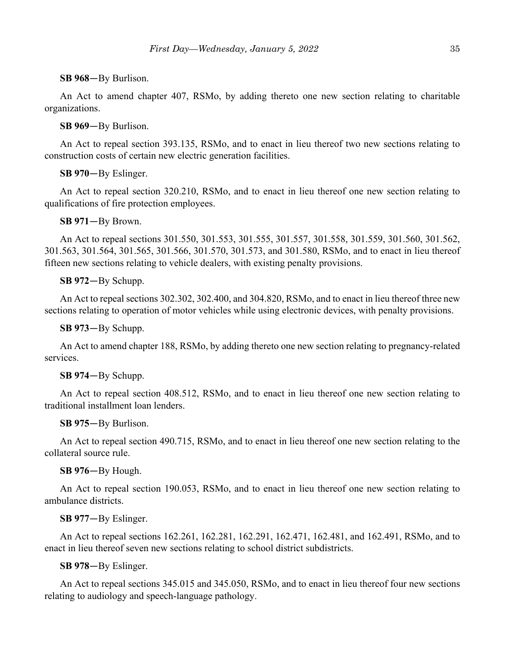## **SB 968**—By Burlison.

An Act to amend chapter 407, RSMo, by adding thereto one new section relating to charitable organizations.

## **SB 969**—By Burlison.

An Act to repeal section 393.135, RSMo, and to enact in lieu thereof two new sections relating to construction costs of certain new electric generation facilities.

## **SB 970**—By Eslinger.

An Act to repeal section 320.210, RSMo, and to enact in lieu thereof one new section relating to qualifications of fire protection employees.

## **SB 971**—By Brown.

An Act to repeal sections 301.550, 301.553, 301.555, 301.557, 301.558, 301.559, 301.560, 301.562, 301.563, 301.564, 301.565, 301.566, 301.570, 301.573, and 301.580, RSMo, and to enact in lieu thereof fifteen new sections relating to vehicle dealers, with existing penalty provisions.

## **SB 972**—By Schupp.

An Act to repeal sections 302.302, 302.400, and 304.820, RSMo, and to enact in lieu thereof three new sections relating to operation of motor vehicles while using electronic devices, with penalty provisions.

### **SB 973**—By Schupp.

An Act to amend chapter 188, RSMo, by adding thereto one new section relating to pregnancy-related services.

### **SB 974**—By Schupp.

An Act to repeal section 408.512, RSMo, and to enact in lieu thereof one new section relating to traditional installment loan lenders.

### **SB 975**—By Burlison.

An Act to repeal section 490.715, RSMo, and to enact in lieu thereof one new section relating to the collateral source rule.

## **SB 976**—By Hough.

An Act to repeal section 190.053, RSMo, and to enact in lieu thereof one new section relating to ambulance districts.

## **SB 977**—By Eslinger.

An Act to repeal sections 162.261, 162.281, 162.291, 162.471, 162.481, and 162.491, RSMo, and to enact in lieu thereof seven new sections relating to school district subdistricts.

## **SB 978**—By Eslinger.

An Act to repeal sections 345.015 and 345.050, RSMo, and to enact in lieu thereof four new sections relating to audiology and speech-language pathology.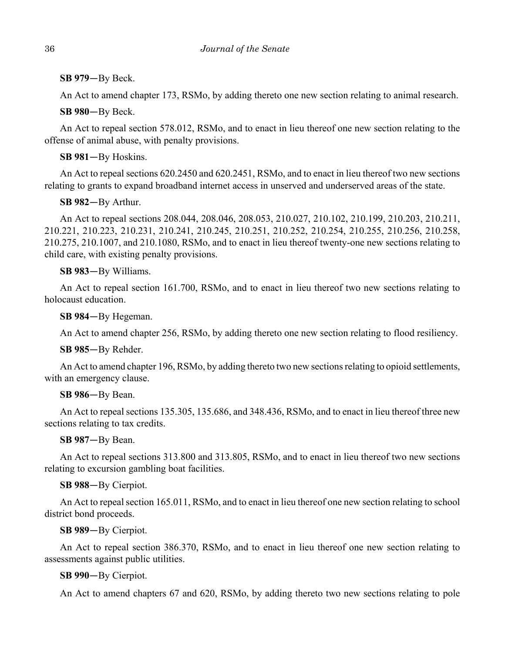**SB 979**—By Beck.

An Act to amend chapter 173, RSMo, by adding thereto one new section relating to animal research.

**SB 980**—By Beck.

An Act to repeal section 578.012, RSMo, and to enact in lieu thereof one new section relating to the offense of animal abuse, with penalty provisions.

**SB 981**—By Hoskins.

An Act to repeal sections 620.2450 and 620.2451, RSMo, and to enact in lieu thereof two new sections relating to grants to expand broadband internet access in unserved and underserved areas of the state.

**SB 982**—By Arthur.

An Act to repeal sections 208.044, 208.046, 208.053, 210.027, 210.102, 210.199, 210.203, 210.211, 210.221, 210.223, 210.231, 210.241, 210.245, 210.251, 210.252, 210.254, 210.255, 210.256, 210.258, 210.275, 210.1007, and 210.1080, RSMo, and to enact in lieu thereof twenty-one new sections relating to child care, with existing penalty provisions.

## **SB 983**—By Williams.

An Act to repeal section 161.700, RSMo, and to enact in lieu thereof two new sections relating to holocaust education.

**SB 984**—By Hegeman.

An Act to amend chapter 256, RSMo, by adding thereto one new section relating to flood resiliency.

**SB 985**—By Rehder.

An Act to amend chapter 196, RSMo, by adding thereto two new sections relating to opioid settlements, with an emergency clause.

## **SB 986**—By Bean.

An Act to repeal sections 135.305, 135.686, and 348.436, RSMo, and to enact in lieu thereof three new sections relating to tax credits.

**SB 987**—By Bean.

An Act to repeal sections 313.800 and 313.805, RSMo, and to enact in lieu thereof two new sections relating to excursion gambling boat facilities.

**SB 988**—By Cierpiot.

An Act to repeal section 165.011, RSMo, and to enact in lieu thereof one new section relating to school district bond proceeds.

**SB 989**—By Cierpiot.

An Act to repeal section 386.370, RSMo, and to enact in lieu thereof one new section relating to assessments against public utilities.

**SB 990**—By Cierpiot.

An Act to amend chapters 67 and 620, RSMo, by adding thereto two new sections relating to pole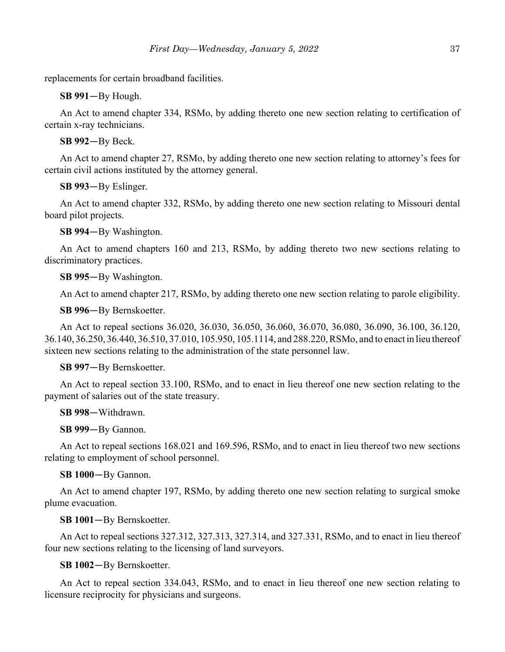replacements for certain broadband facilities.

**SB 991**—By Hough.

An Act to amend chapter 334, RSMo, by adding thereto one new section relating to certification of certain x-ray technicians.

**SB 992**—By Beck.

An Act to amend chapter 27, RSMo, by adding thereto one new section relating to attorney's fees for certain civil actions instituted by the attorney general.

**SB 993**—By Eslinger.

An Act to amend chapter 332, RSMo, by adding thereto one new section relating to Missouri dental board pilot projects.

**SB 994**—By Washington.

An Act to amend chapters 160 and 213, RSMo, by adding thereto two new sections relating to discriminatory practices.

**SB 995**—By Washington.

An Act to amend chapter 217, RSMo, by adding thereto one new section relating to parole eligibility.

**SB 996**—By Bernskoetter.

An Act to repeal sections 36.020, 36.030, 36.050, 36.060, 36.070, 36.080, 36.090, 36.100, 36.120, 36.140, 36.250, 36.440, 36.510, 37.010, 105.950, 105.1114, and 288.220, RSMo, and to enact in lieu thereof sixteen new sections relating to the administration of the state personnel law.

**SB 997**—By Bernskoetter.

An Act to repeal section 33.100, RSMo, and to enact in lieu thereof one new section relating to the payment of salaries out of the state treasury.

**SB 998**—Withdrawn.

**SB 999**—By Gannon.

An Act to repeal sections 168.021 and 169.596, RSMo, and to enact in lieu thereof two new sections relating to employment of school personnel.

**SB 1000**—By Gannon.

An Act to amend chapter 197, RSMo, by adding thereto one new section relating to surgical smoke plume evacuation.

**SB 1001**—By Bernskoetter.

An Act to repeal sections 327.312, 327.313, 327.314, and 327.331, RSMo, and to enact in lieu thereof four new sections relating to the licensing of land surveyors.

**SB 1002**—By Bernskoetter.

An Act to repeal section 334.043, RSMo, and to enact in lieu thereof one new section relating to licensure reciprocity for physicians and surgeons.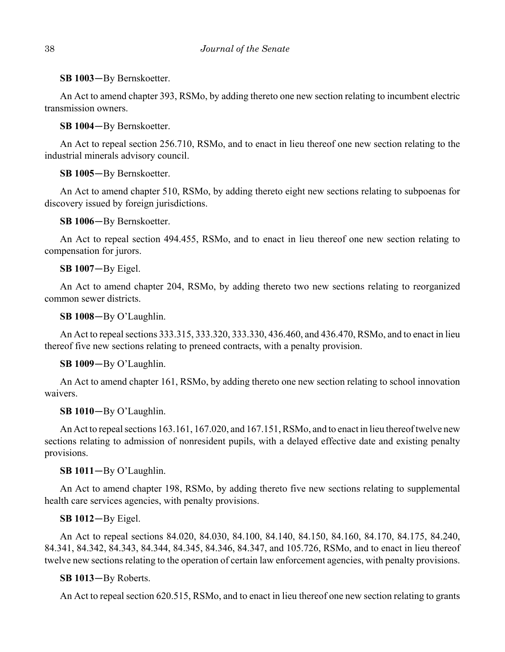**SB 1003**—By Bernskoetter.

An Act to amend chapter 393, RSMo, by adding thereto one new section relating to incumbent electric transmission owners.

**SB 1004**—By Bernskoetter.

An Act to repeal section 256.710, RSMo, and to enact in lieu thereof one new section relating to the industrial minerals advisory council.

**SB 1005**—By Bernskoetter.

An Act to amend chapter 510, RSMo, by adding thereto eight new sections relating to subpoenas for discovery issued by foreign jurisdictions.

**SB 1006**—By Bernskoetter.

An Act to repeal section 494.455, RSMo, and to enact in lieu thereof one new section relating to compensation for jurors.

**SB 1007**—By Eigel.

An Act to amend chapter 204, RSMo, by adding thereto two new sections relating to reorganized common sewer districts.

**SB 1008**—By O'Laughlin.

An Act to repeal sections 333.315, 333.320, 333.330, 436.460, and 436.470, RSMo, and to enact in lieu thereof five new sections relating to preneed contracts, with a penalty provision.

**SB 1009**—By O'Laughlin.

An Act to amend chapter 161, RSMo, by adding thereto one new section relating to school innovation waivers.

**SB 1010**—By O'Laughlin.

An Act to repeal sections 163.161, 167.020, and 167.151, RSMo, and to enact in lieu thereof twelve new sections relating to admission of nonresident pupils, with a delayed effective date and existing penalty provisions.

## **SB 1011**—By O'Laughlin.

An Act to amend chapter 198, RSMo, by adding thereto five new sections relating to supplemental health care services agencies, with penalty provisions.

### **SB 1012**—By Eigel.

An Act to repeal sections 84.020, 84.030, 84.100, 84.140, 84.150, 84.160, 84.170, 84.175, 84.240, 84.341, 84.342, 84.343, 84.344, 84.345, 84.346, 84.347, and 105.726, RSMo, and to enact in lieu thereof twelve new sections relating to the operation of certain law enforcement agencies, with penalty provisions.

**SB 1013**—By Roberts.

An Act to repeal section 620.515, RSMo, and to enact in lieu thereof one new section relating to grants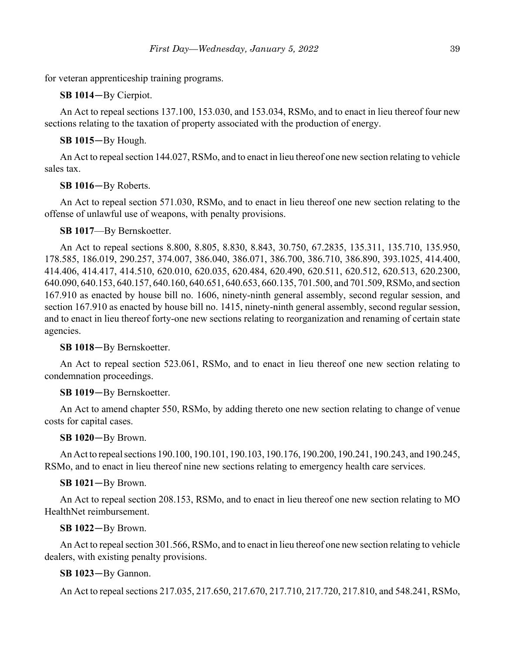for veteran apprenticeship training programs.

**SB 1014**—By Cierpiot.

An Act to repeal sections 137.100, 153.030, and 153.034, RSMo, and to enact in lieu thereof four new sections relating to the taxation of property associated with the production of energy.

**SB 1015**—By Hough.

An Act to repeal section 144.027, RSMo, and to enact in lieu thereof one new section relating to vehicle sales tax.

**SB 1016**—By Roberts.

An Act to repeal section 571.030, RSMo, and to enact in lieu thereof one new section relating to the offense of unlawful use of weapons, with penalty provisions.

### **SB 1017**—By Bernskoetter.

An Act to repeal sections 8.800, 8.805, 8.830, 8.843, 30.750, 67.2835, 135.311, 135.710, 135.950, 178.585, 186.019, 290.257, 374.007, 386.040, 386.071, 386.700, 386.710, 386.890, 393.1025, 414.400, 414.406, 414.417, 414.510, 620.010, 620.035, 620.484, 620.490, 620.511, 620.512, 620.513, 620.2300, 640.090, 640.153, 640.157, 640.160, 640.651, 640.653, 660.135, 701.500, and 701.509, RSMo, and section 167.910 as enacted by house bill no. 1606, ninety-ninth general assembly, second regular session, and section 167.910 as enacted by house bill no. 1415, ninety-ninth general assembly, second regular session, and to enact in lieu thereof forty-one new sections relating to reorganization and renaming of certain state agencies.

**SB 1018**—By Bernskoetter.

An Act to repeal section 523.061, RSMo, and to enact in lieu thereof one new section relating to condemnation proceedings.

### **SB 1019**—By Bernskoetter.

An Act to amend chapter 550, RSMo, by adding thereto one new section relating to change of venue costs for capital cases.

**SB 1020**—By Brown.

An Act to repeal sections 190.100, 190.101, 190.103, 190.176, 190.200, 190.241, 190.243, and 190.245, RSMo, and to enact in lieu thereof nine new sections relating to emergency health care services.

**SB 1021**—By Brown.

An Act to repeal section 208.153, RSMo, and to enact in lieu thereof one new section relating to MO HealthNet reimbursement.

**SB 1022**—By Brown.

An Act to repeal section 301.566, RSMo, and to enact in lieu thereof one new section relating to vehicle dealers, with existing penalty provisions.

**SB 1023**—By Gannon.

An Act to repeal sections 217.035, 217.650, 217.670, 217.710, 217.720, 217.810, and 548.241, RSMo,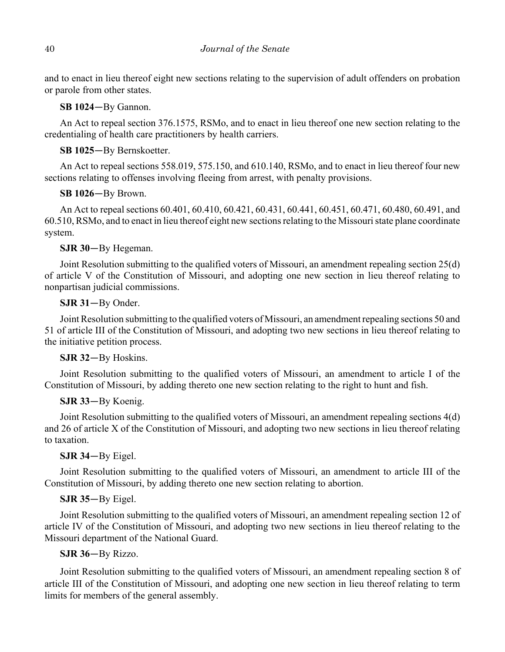and to enact in lieu thereof eight new sections relating to the supervision of adult offenders on probation or parole from other states.

**SB 1024**—By Gannon.

An Act to repeal section 376.1575, RSMo, and to enact in lieu thereof one new section relating to the credentialing of health care practitioners by health carriers.

## **SB 1025**—By Bernskoetter.

An Act to repeal sections 558.019, 575.150, and 610.140, RSMo, and to enact in lieu thereof four new sections relating to offenses involving fleeing from arrest, with penalty provisions.

## **SB 1026**—By Brown.

An Act to repeal sections 60.401, 60.410, 60.421, 60.431, 60.441, 60.451, 60.471, 60.480, 60.491, and 60.510, RSMo, and to enact in lieu thereof eight new sections relating to the Missouri state plane coordinate system.

## **SJR 30**—By Hegeman.

Joint Resolution submitting to the qualified voters of Missouri, an amendment repealing section 25(d) of article V of the Constitution of Missouri, and adopting one new section in lieu thereof relating to nonpartisan judicial commissions.

## **SJR 31**—By Onder.

Joint Resolution submitting to the qualified voters of Missouri, an amendment repealing sections 50 and 51 of article III of the Constitution of Missouri, and adopting two new sections in lieu thereof relating to the initiative petition process.

## **SJR 32**—By Hoskins.

Joint Resolution submitting to the qualified voters of Missouri, an amendment to article I of the Constitution of Missouri, by adding thereto one new section relating to the right to hunt and fish.

## **SJR 33**—By Koenig.

Joint Resolution submitting to the qualified voters of Missouri, an amendment repealing sections 4(d) and 26 of article X of the Constitution of Missouri, and adopting two new sections in lieu thereof relating to taxation.

## **SJR 34**—By Eigel.

Joint Resolution submitting to the qualified voters of Missouri, an amendment to article III of the Constitution of Missouri, by adding thereto one new section relating to abortion.

## **SJR 35**—By Eigel.

Joint Resolution submitting to the qualified voters of Missouri, an amendment repealing section 12 of article IV of the Constitution of Missouri, and adopting two new sections in lieu thereof relating to the Missouri department of the National Guard.

## **SJR 36**—By Rizzo.

Joint Resolution submitting to the qualified voters of Missouri, an amendment repealing section 8 of article III of the Constitution of Missouri, and adopting one new section in lieu thereof relating to term limits for members of the general assembly.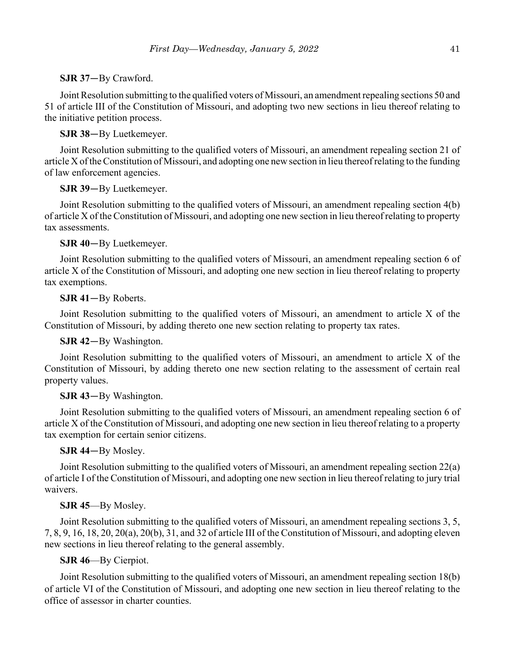## **SJR 37**—By Crawford.

Joint Resolution submitting to the qualified voters of Missouri, an amendment repealing sections 50 and 51 of article III of the Constitution of Missouri, and adopting two new sections in lieu thereof relating to the initiative petition process.

## **SJR 38**—By Luetkemeyer.

Joint Resolution submitting to the qualified voters of Missouri, an amendment repealing section 21 of article X of the Constitution of Missouri, and adopting one new section in lieu thereof relating to the funding of law enforcement agencies.

## **SJR 39**—By Luetkemeyer.

Joint Resolution submitting to the qualified voters of Missouri, an amendment repealing section 4(b) of article X of the Constitution of Missouri, and adopting one new section in lieu thereof relating to property tax assessments.

## **SJR 40**—By Luetkemeyer.

Joint Resolution submitting to the qualified voters of Missouri, an amendment repealing section 6 of article X of the Constitution of Missouri, and adopting one new section in lieu thereof relating to property tax exemptions.

## **SJR 41**—By Roberts.

Joint Resolution submitting to the qualified voters of Missouri, an amendment to article X of the Constitution of Missouri, by adding thereto one new section relating to property tax rates.

## **SJR 42**—By Washington.

Joint Resolution submitting to the qualified voters of Missouri, an amendment to article X of the Constitution of Missouri, by adding thereto one new section relating to the assessment of certain real property values.

## **SJR 43**—By Washington.

Joint Resolution submitting to the qualified voters of Missouri, an amendment repealing section 6 of article X of the Constitution of Missouri, and adopting one new section in lieu thereof relating to a property tax exemption for certain senior citizens.

## **SJR 44**—By Mosley.

Joint Resolution submitting to the qualified voters of Missouri, an amendment repealing section 22(a) of article I of the Constitution of Missouri, and adopting one new section in lieu thereof relating to jury trial waivers.

## **SJR 45**—By Mosley.

Joint Resolution submitting to the qualified voters of Missouri, an amendment repealing sections 3, 5, 7, 8, 9, 16, 18, 20, 20(a), 20(b), 31, and 32 of article III of the Constitution of Missouri, and adopting eleven new sections in lieu thereof relating to the general assembly.

## **SJR 46**—By Cierpiot.

Joint Resolution submitting to the qualified voters of Missouri, an amendment repealing section 18(b) of article VI of the Constitution of Missouri, and adopting one new section in lieu thereof relating to the office of assessor in charter counties.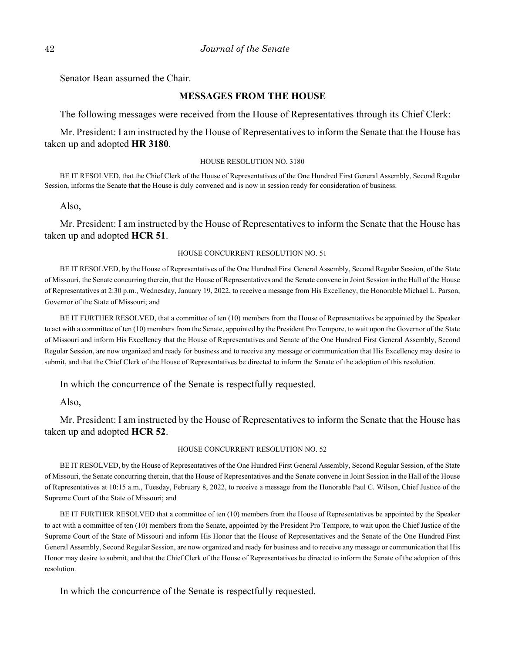Senator Bean assumed the Chair.

### **MESSAGES FROM THE HOUSE**

The following messages were received from the House of Representatives through its Chief Clerk:

Mr. President: I am instructed by the House of Representatives to inform the Senate that the House has taken up and adopted **HR 3180**.

#### HOUSE RESOLUTION NO. 3180

BE IT RESOLVED, that the Chief Clerk of the House of Representatives of the One Hundred First General Assembly, Second Regular Session, informs the Senate that the House is duly convened and is now in session ready for consideration of business.

Also,

Mr. President: I am instructed by the House of Representatives to inform the Senate that the House has taken up and adopted **HCR 51**.

### HOUSE CONCURRENT RESOLUTION NO. 51

BE IT RESOLVED, by the House of Representatives of the One Hundred First General Assembly, Second Regular Session, of the State of Missouri, the Senate concurring therein, that the House of Representatives and the Senate convene in Joint Session in the Hall of the House of Representatives at 2:30 p.m., Wednesday, January 19, 2022, to receive a message from His Excellency, the Honorable Michael L. Parson, Governor of the State of Missouri; and

BE IT FURTHER RESOLVED, that a committee of ten (10) members from the House of Representatives be appointed by the Speaker to act with a committee of ten (10) members from the Senate, appointed by the President Pro Tempore, to wait upon the Governor of the State of Missouri and inform His Excellency that the House of Representatives and Senate of the One Hundred First General Assembly, Second Regular Session, are now organized and ready for business and to receive any message or communication that His Excellency may desire to submit, and that the Chief Clerk of the House of Representatives be directed to inform the Senate of the adoption of this resolution.

In which the concurrence of the Senate is respectfully requested.

Also,

Mr. President: I am instructed by the House of Representatives to inform the Senate that the House has taken up and adopted **HCR 52**.

#### HOUSE CONCURRENT RESOLUTION NO. 52

BE IT RESOLVED, by the House of Representatives of the One Hundred First General Assembly, Second Regular Session, of the State of Missouri, the Senate concurring therein, that the House of Representatives and the Senate convene in Joint Session in the Hall of the House of Representatives at 10:15 a.m., Tuesday, February 8, 2022, to receive a message from the Honorable Paul C. Wilson, Chief Justice of the Supreme Court of the State of Missouri; and

BE IT FURTHER RESOLVED that a committee of ten (10) members from the House of Representatives be appointed by the Speaker to act with a committee of ten (10) members from the Senate, appointed by the President Pro Tempore, to wait upon the Chief Justice of the Supreme Court of the State of Missouri and inform His Honor that the House of Representatives and the Senate of the One Hundred First General Assembly, Second Regular Session, are now organized and ready for business and to receive any message or communication that His Honor may desire to submit, and that the Chief Clerk of the House of Representatives be directed to inform the Senate of the adoption of this resolution.

In which the concurrence of the Senate is respectfully requested.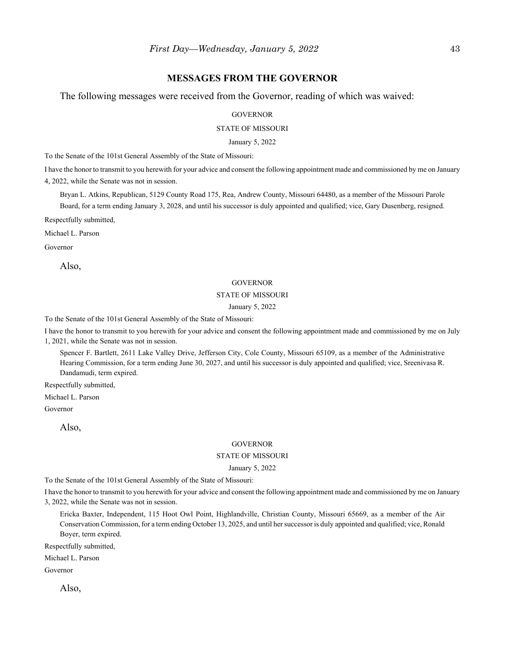### **MESSAGES FROM THE GOVERNOR**

The following messages were received from the Governor, reading of which was waived:

**GOVERNOR** 

STATE OF MISSOURI

January 5, 2022

To the Senate of the 101st General Assembly of the State of Missouri:

I have the honor to transmit to you herewith for your advice and consent the following appointment made and commissioned by me on January 4, 2022, while the Senate was not in session.

Bryan L. Atkins, Republican, 5129 County Road 175, Rea, Andrew County, Missouri 64480, as a member of the Missouri Parole Board, for a term ending January 3, 2028, and until his successor is duly appointed and qualified; vice, Gary Dusenberg, resigned.

Respectfully submitted,

Michael L. Parson

Governor

Also,

#### GOVERNOR

#### STATE OF MISSOURI

#### January 5, 2022

To the Senate of the 101st General Assembly of the State of Missouri:

I have the honor to transmit to you herewith for your advice and consent the following appointment made and commissioned by me on July 1, 2021, while the Senate was not in session.

Spencer F. Bartlett, 2611 Lake Valley Drive, Jefferson City, Cole County, Missouri 65109, as a member of the Administrative Hearing Commission, for a term ending June 30, 2027, and until his successor is duly appointed and qualified; vice, Sreenivasa R. Dandamudi, term expired.

Respectfully submitted,

Michael L. Parson

Governor

Also,

#### **GOVERNOR**

#### STATE OF MISSOURI

January 5, 2022

To the Senate of the 101st General Assembly of the State of Missouri:

I have the honor to transmit to you herewith for your advice and consent the following appointment made and commissioned by me on January 3, 2022, while the Senate was not in session.

Ericka Baxter, Independent, 115 Hoot Owl Point, Highlandville, Christian County, Missouri 65669, as a member of the Air Conservation Commission, for a term ending October 13, 2025, and until her successor is duly appointed and qualified; vice, Ronald Boyer, term expired.

Respectfully submitted,

Michael L. Parson

Governor

Also,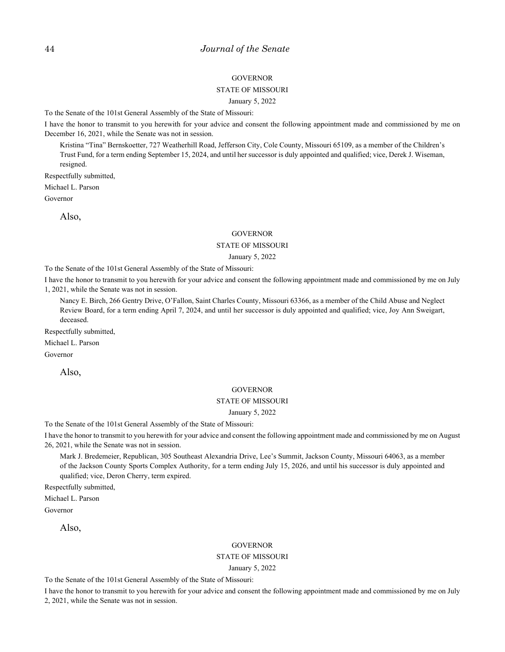#### **GOVERNOR**

#### STATE OF MISSOURI

#### January 5, 2022

To the Senate of the 101st General Assembly of the State of Missouri:

I have the honor to transmit to you herewith for your advice and consent the following appointment made and commissioned by me on December 16, 2021, while the Senate was not in session.

Kristina "Tina" Bernskoetter, 727 Weatherhill Road, Jefferson City, Cole County, Missouri 65109, as a member of the Children's Trust Fund, for a term ending September 15, 2024, and until her successor is duly appointed and qualified; vice, Derek J. Wiseman, resigned.

Respectfully submitted,

Michael L. Parson

Governor

Also,

#### **GOVERNOR**

#### STATE OF MISSOURI

#### January 5, 2022

To the Senate of the 101st General Assembly of the State of Missouri:

I have the honor to transmit to you herewith for your advice and consent the following appointment made and commissioned by me on July 1, 2021, while the Senate was not in session.

Nancy E. Birch, 266 Gentry Drive, O'Fallon, Saint Charles County, Missouri 63366, as a member of the Child Abuse and Neglect Review Board, for a term ending April 7, 2024, and until her successor is duly appointed and qualified; vice, Joy Ann Sweigart, deceased.

Respectfully submitted,

Michael L. Parson

Governor

Also,

#### **GOVERNOR**

#### STATE OF MISSOURI

#### January 5, 2022

To the Senate of the 101st General Assembly of the State of Missouri:

I have the honor to transmit to you herewith for your advice and consent the following appointment made and commissioned by me on August 26, 2021, while the Senate was not in session.

Mark J. Bredemeier, Republican, 305 Southeast Alexandria Drive, Lee's Summit, Jackson County, Missouri 64063, as a member of the Jackson County Sports Complex Authority, for a term ending July 15, 2026, and until his successor is duly appointed and qualified; vice, Deron Cherry, term expired.

Respectfully submitted,

Michael L. Parson Governor

Also,

#### GOVERNOR

### STATE OF MISSOURI

January 5, 2022

To the Senate of the 101st General Assembly of the State of Missouri:

I have the honor to transmit to you herewith for your advice and consent the following appointment made and commissioned by me on July 2, 2021, while the Senate was not in session.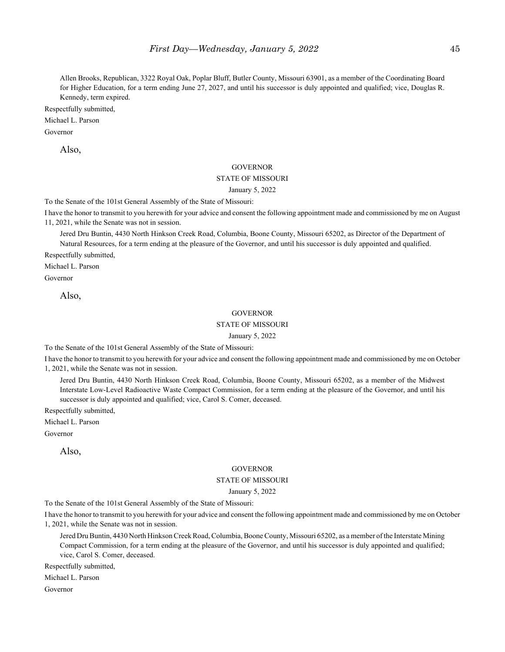Allen Brooks, Republican, 3322 Royal Oak, Poplar Bluff, Butler County, Missouri 63901, as a member of the Coordinating Board for Higher Education, for a term ending June 27, 2027, and until his successor is duly appointed and qualified; vice, Douglas R. Kennedy, term expired.

Respectfully submitted,

Michael L. Parson

Governor

Also,

#### **GOVERNOR**

#### STATE OF MISSOURI

January 5, 2022

To the Senate of the 101st General Assembly of the State of Missouri:

I have the honor to transmit to you herewith for your advice and consent the following appointment made and commissioned by me on August 11, 2021, while the Senate was not in session.

Jered Dru Buntin, 4430 North Hinkson Creek Road, Columbia, Boone County, Missouri 65202, as Director of the Department of Natural Resources, for a term ending at the pleasure of the Governor, and until his successor is duly appointed and qualified.

Respectfully submitted,

Michael L. Parson

Governor

Also,

#### **GOVERNOR**

#### STATE OF MISSOURI

#### January 5, 2022

To the Senate of the 101st General Assembly of the State of Missouri:

I have the honor to transmit to you herewith for your advice and consent the following appointment made and commissioned by me on October 1, 2021, while the Senate was not in session.

Jered Dru Buntin, 4430 North Hinkson Creek Road, Columbia, Boone County, Missouri 65202, as a member of the Midwest Interstate Low-Level Radioactive Waste Compact Commission, for a term ending at the pleasure of the Governor, and until his successor is duly appointed and qualified; vice, Carol S. Comer, deceased.

Respectfully submitted,

Michael L. Parson

Governor

Also,

#### GOVERNOR

### STATE OF MISSOURI

#### January 5, 2022

To the Senate of the 101st General Assembly of the State of Missouri:

I have the honor to transmit to you herewith for your advice and consent the following appointment made and commissioned by me on October 1, 2021, while the Senate was not in session.

Jered Dru Buntin, 4430 North Hinkson Creek Road, Columbia, Boone County, Missouri 65202, as a member of the Interstate Mining Compact Commission, for a term ending at the pleasure of the Governor, and until his successor is duly appointed and qualified; vice, Carol S. Comer, deceased.

Respectfully submitted,

Michael L. Parson

Governor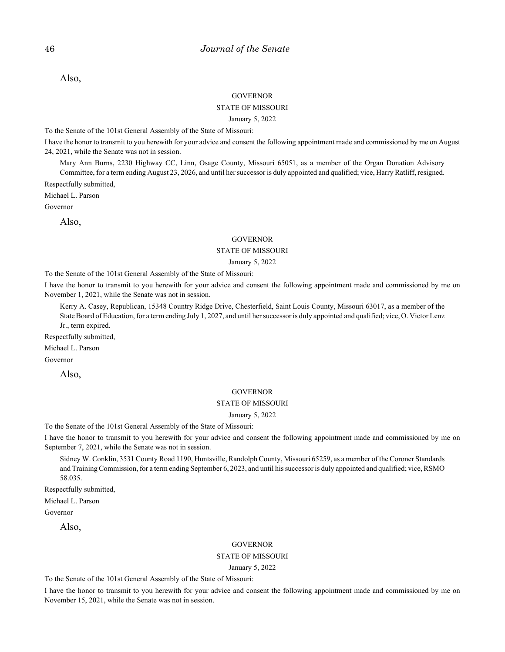Also,

#### **GOVERNOR**

### STATE OF MISSOURI

#### January 5, 2022

To the Senate of the 101st General Assembly of the State of Missouri:

I have the honor to transmit to you herewith for your advice and consent the following appointment made and commissioned by me on August 24, 2021, while the Senate was not in session.

Mary Ann Burns, 2230 Highway CC, Linn, Osage County, Missouri 65051, as a member of the Organ Donation Advisory

Committee, for a term ending August 23, 2026, and until her successor is duly appointed and qualified; vice, Harry Ratliff, resigned. Respectfully submitted,

Michael L. Parson

Governor

Also,

#### **GOVERNOR**

#### STATE OF MISSOURI

#### January 5, 2022

To the Senate of the 101st General Assembly of the State of Missouri:

I have the honor to transmit to you herewith for your advice and consent the following appointment made and commissioned by me on November 1, 2021, while the Senate was not in session.

Kerry A. Casey, Republican, 15348 Country Ridge Drive, Chesterfield, Saint Louis County, Missouri 63017, as a member of the State Board of Education, for a term ending July 1, 2027, and until her successor is duly appointed and qualified; vice, O. Victor Lenz Jr., term expired.

Respectfully submitted,

Michael L. Parson

Governor

Also,

#### **GOVERNOR**

#### STATE OF MISSOURI

#### January 5, 2022

To the Senate of the 101st General Assembly of the State of Missouri:

I have the honor to transmit to you herewith for your advice and consent the following appointment made and commissioned by me on September 7, 2021, while the Senate was not in session.

Sidney W. Conklin, 3531 County Road 1190, Huntsville, Randolph County, Missouri 65259, as a member of the Coroner Standards and Training Commission, for a term ending September 6, 2023, and until his successor is duly appointed and qualified; vice, RSMO 58.035.

Respectfully submitted,

Michael L. Parson

Governor

Also,

#### **GOVERNOR**

#### STATE OF MISSOURI

January 5, 2022

To the Senate of the 101st General Assembly of the State of Missouri:

I have the honor to transmit to you herewith for your advice and consent the following appointment made and commissioned by me on November 15, 2021, while the Senate was not in session.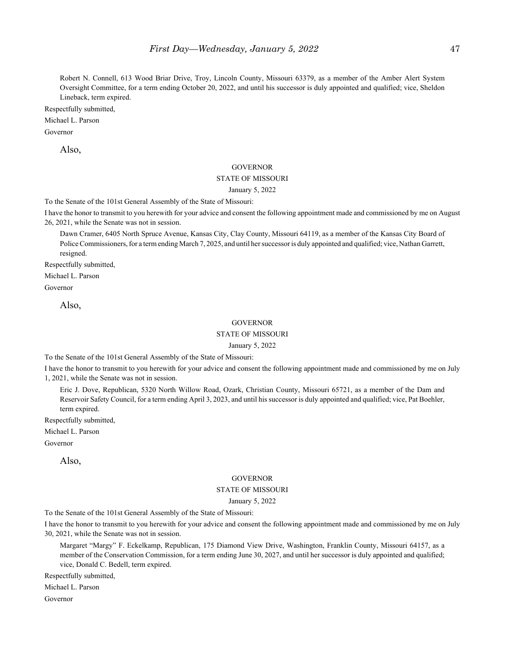Robert N. Connell, 613 Wood Briar Drive, Troy, Lincoln County, Missouri 63379, as a member of the Amber Alert System Oversight Committee, for a term ending October 20, 2022, and until his successor is duly appointed and qualified; vice, Sheldon Lineback, term expired.

Respectfully submitted,

Michael L. Parson

Governor

Also,

#### **GOVERNOR**

#### STATE OF MISSOURI

January 5, 2022

To the Senate of the 101st General Assembly of the State of Missouri:

I have the honor to transmit to you herewith for your advice and consent the following appointment made and commissioned by me on August 26, 2021, while the Senate was not in session.

Dawn Cramer, 6405 North Spruce Avenue, Kansas City, Clay County, Missouri 64119, as a member of the Kansas City Board of Police Commissioners, for a term ending March 7, 2025, and until her successor is duly appointed and qualified; vice, Nathan Garrett, resigned.

Respectfully submitted,

Michael L. Parson

Governor

Also,

#### **GOVERNOR**

### STATE OF MISSOURI

January 5, 2022

To the Senate of the 101st General Assembly of the State of Missouri:

I have the honor to transmit to you herewith for your advice and consent the following appointment made and commissioned by me on July 1, 2021, while the Senate was not in session.

Eric J. Dove, Republican, 5320 North Willow Road, Ozark, Christian County, Missouri 65721, as a member of the Dam and Reservoir Safety Council, for a term ending April 3, 2023, and until his successor is duly appointed and qualified; vice, Pat Boehler, term expired.

Respectfully submitted,

Michael L. Parson

Governor

Also,

#### **GOVERNOR**

#### STATE OF MISSOURI

#### January 5, 2022

To the Senate of the 101st General Assembly of the State of Missouri:

I have the honor to transmit to you herewith for your advice and consent the following appointment made and commissioned by me on July 30, 2021, while the Senate was not in session.

Margaret "Margy" F. Eckelkamp, Republican, 175 Diamond View Drive, Washington, Franklin County, Missouri 64157, as a member of the Conservation Commission, for a term ending June 30, 2027, and until her successor is duly appointed and qualified; vice, Donald C. Bedell, term expired.

Respectfully submitted,

Michael L. Parson

Governor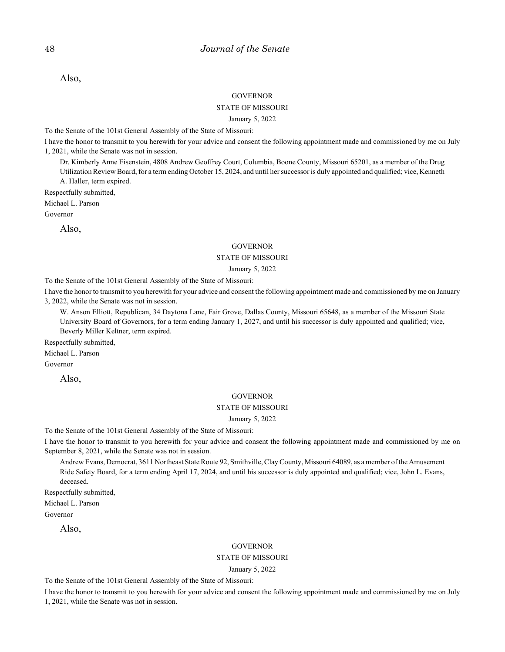Also,

#### **GOVERNOR**

#### STATE OF MISSOURI

#### January 5, 2022

To the Senate of the 101st General Assembly of the State of Missouri:

I have the honor to transmit to you herewith for your advice and consent the following appointment made and commissioned by me on July 1, 2021, while the Senate was not in session.

Dr. Kimberly Anne Eisenstein, 4808 Andrew Geoffrey Court, Columbia, Boone County, Missouri 65201, as a member of the Drug Utilization Review Board, for a term ending October 15, 2024, and until her successor is duly appointed and qualified; vice, Kenneth A. Haller, term expired.

Respectfully submitted,

Michael L. Parson

Governor

Also,

#### **GOVERNOR**

## STATE OF MISSOURI

January 5, 2022

To the Senate of the 101st General Assembly of the State of Missouri:

I have the honor to transmit to you herewith for your advice and consent the following appointment made and commissioned by me on January 3, 2022, while the Senate was not in session.

W. Anson Elliott, Republican, 34 Daytona Lane, Fair Grove, Dallas County, Missouri 65648, as a member of the Missouri State University Board of Governors, for a term ending January 1, 2027, and until his successor is duly appointed and qualified; vice, Beverly Miller Keltner, term expired.

Respectfully submitted,

Michael L. Parson

Governor

Also,

#### **GOVERNOR**

### STATE OF MISSOURI

January 5, 2022

To the Senate of the 101st General Assembly of the State of Missouri:

I have the honor to transmit to you herewith for your advice and consent the following appointment made and commissioned by me on September 8, 2021, while the Senate was not in session.

Andrew Evans, Democrat, 3611 Northeast State Route 92, Smithville, Clay County, Missouri 64089, as a member of the Amusement Ride Safety Board, for a term ending April 17, 2024, and until his successor is duly appointed and qualified; vice, John L. Evans, deceased.

Respectfully submitted,

Michael L. Parson

Governor

Also,

#### GOVERNOR

### STATE OF MISSOURI

January 5, 2022

To the Senate of the 101st General Assembly of the State of Missouri:

I have the honor to transmit to you herewith for your advice and consent the following appointment made and commissioned by me on July 1, 2021, while the Senate was not in session.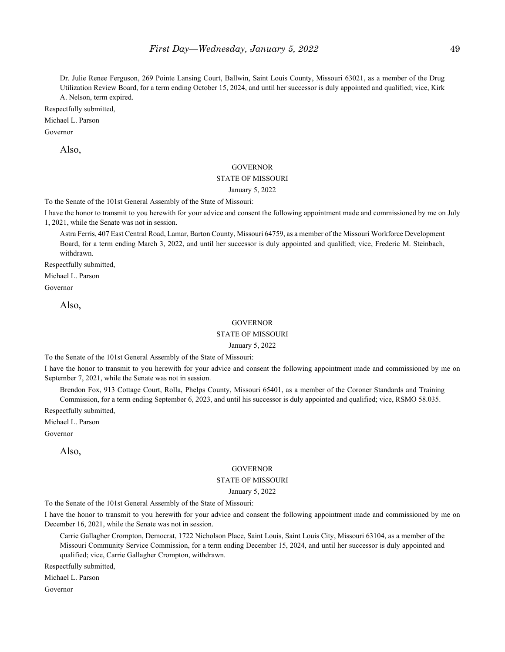Dr. Julie Renee Ferguson, 269 Pointe Lansing Court, Ballwin, Saint Louis County, Missouri 63021, as a member of the Drug Utilization Review Board, for a term ending October 15, 2024, and until her successor is duly appointed and qualified; vice, Kirk A. Nelson, term expired.

Respectfully submitted,

#### Michael L. Parson

Governor

Also,

#### **GOVERNOR**

#### STATE OF MISSOURI

January 5, 2022

To the Senate of the 101st General Assembly of the State of Missouri:

I have the honor to transmit to you herewith for your advice and consent the following appointment made and commissioned by me on July 1, 2021, while the Senate was not in session.

Astra Ferris, 407 East Central Road, Lamar, Barton County, Missouri 64759, as a member of the Missouri Workforce Development Board, for a term ending March 3, 2022, and until her successor is duly appointed and qualified; vice, Frederic M. Steinbach, withdrawn.

Respectfully submitted,

Michael L. Parson

Governor

Also,

#### **GOVERNOR**

### STATE OF MISSOURI

January 5, 2022

To the Senate of the 101st General Assembly of the State of Missouri:

I have the honor to transmit to you herewith for your advice and consent the following appointment made and commissioned by me on September 7, 2021, while the Senate was not in session.

Brendon Fox, 913 Cottage Court, Rolla, Phelps County, Missouri 65401, as a member of the Coroner Standards and Training Commission, for a term ending September 6, 2023, and until his successor is duly appointed and qualified; vice, RSMO 58.035.

Respectfully submitted,

Michael L. Parson

Governor

Also,

#### GOVERNOR

#### STATE OF MISSOURI

#### January 5, 2022

To the Senate of the 101st General Assembly of the State of Missouri:

I have the honor to transmit to you herewith for your advice and consent the following appointment made and commissioned by me on December 16, 2021, while the Senate was not in session.

Carrie Gallagher Crompton, Democrat, 1722 Nicholson Place, Saint Louis, Saint Louis City, Missouri 63104, as a member of the Missouri Community Service Commission, for a term ending December 15, 2024, and until her successor is duly appointed and qualified; vice, Carrie Gallagher Crompton, withdrawn.

Respectfully submitted,

Michael L. Parson

Governor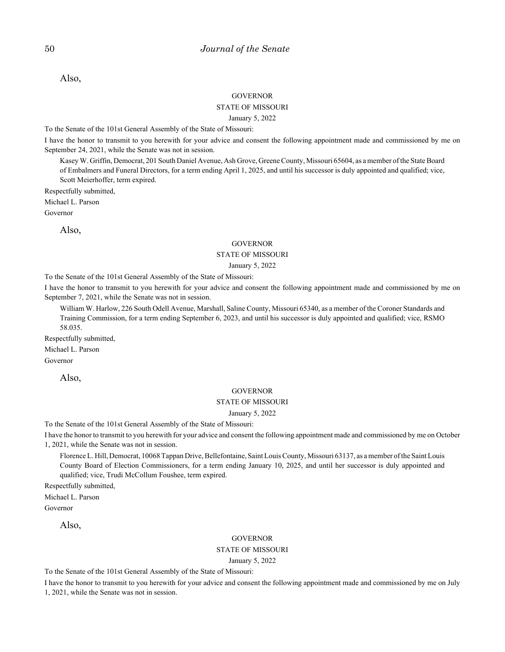Also,

#### **GOVERNOR**

### STATE OF MISSOURI

#### January 5, 2022

To the Senate of the 101st General Assembly of the State of Missouri:

I have the honor to transmit to you herewith for your advice and consent the following appointment made and commissioned by me on September 24, 2021, while the Senate was not in session.

Kasey W. Griffin, Democrat, 201 South Daniel Avenue, Ash Grove, Greene County, Missouri 65604, as a member of the State Board of Embalmers and Funeral Directors, for a term ending April 1, 2025, and until his successor is duly appointed and qualified; vice, Scott Meierhoffer, term expired.

Respectfully submitted,

Michael L. Parson

Governor

Also,

#### **GOVERNOR**

#### STATE OF MISSOURI

#### January 5, 2022

To the Senate of the 101st General Assembly of the State of Missouri:

I have the honor to transmit to you herewith for your advice and consent the following appointment made and commissioned by me on September 7, 2021, while the Senate was not in session.

William W. Harlow, 226 South Odell Avenue, Marshall, Saline County, Missouri 65340, as a member of the Coroner Standards and Training Commission, for a term ending September 6, 2023, and until his successor is duly appointed and qualified; vice, RSMO 58.035.

Respectfully submitted,

Michael L. Parson

Governor

Also,

#### **GOVERNOR**

#### STATE OF MISSOURI

January 5, 2022

To the Senate of the 101st General Assembly of the State of Missouri:

I have the honor to transmit to you herewith for your advice and consent the following appointment made and commissioned by me on October 1, 2021, while the Senate was not in session.

Florence L. Hill, Democrat, 10068 Tappan Drive, Bellefontaine, Saint Louis County, Missouri 63137, as a member of the Saint Louis County Board of Election Commissioners, for a term ending January 10, 2025, and until her successor is duly appointed and qualified; vice, Trudi McCollum Foushee, term expired.

Respectfully submitted,

Michael L. Parson

Governor

Also,

#### GOVERNOR

STATE OF MISSOURI

January 5, 2022

To the Senate of the 101st General Assembly of the State of Missouri:

I have the honor to transmit to you herewith for your advice and consent the following appointment made and commissioned by me on July 1, 2021, while the Senate was not in session.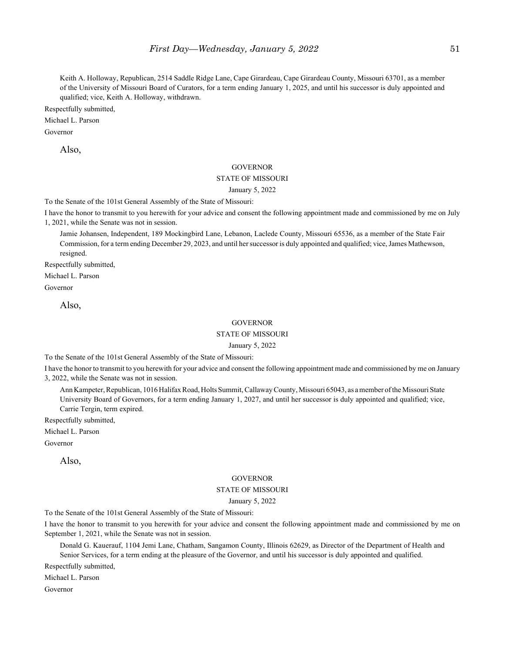Keith A. Holloway, Republican, 2514 Saddle Ridge Lane, Cape Girardeau, Cape Girardeau County, Missouri 63701, as a member of the University of Missouri Board of Curators, for a term ending January 1, 2025, and until his successor is duly appointed and qualified; vice, Keith A. Holloway, withdrawn.

Respectfully submitted,

Michael L. Parson

Governor

Also,

#### **GOVERNOR**

#### STATE OF MISSOURI

January 5, 2022

To the Senate of the 101st General Assembly of the State of Missouri:

I have the honor to transmit to you herewith for your advice and consent the following appointment made and commissioned by me on July 1, 2021, while the Senate was not in session.

Jamie Johansen, Independent, 189 Mockingbird Lane, Lebanon, Laclede County, Missouri 65536, as a member of the State Fair Commission, for a term ending December 29, 2023, and until her successor is duly appointed and qualified; vice, James Mathewson, resigned.

Respectfully submitted,

Michael L. Parson

Governor

Also,

#### **GOVERNOR**

### STATE OF MISSOURI

January 5, 2022

To the Senate of the 101st General Assembly of the State of Missouri:

I have the honor to transmit to you herewith for your advice and consent the following appointment made and commissioned by me on January 3, 2022, while the Senate was not in session.

Ann Kampeter, Republican, 1016 Halifax Road, Holts Summit, Callaway County, Missouri 65043, as a member of the Missouri State University Board of Governors, for a term ending January 1, 2027, and until her successor is duly appointed and qualified; vice, Carrie Tergin, term expired.

Respectfully submitted,

Michael L. Parson

Governor

Also,

#### **GOVERNOR**

#### STATE OF MISSOURI

#### January 5, 2022

To the Senate of the 101st General Assembly of the State of Missouri:

I have the honor to transmit to you herewith for your advice and consent the following appointment made and commissioned by me on September 1, 2021, while the Senate was not in session.

Donald G. Kauerauf, 1104 Jemi Lane, Chatham, Sangamon County, Illinois 62629, as Director of the Department of Health and Senior Services, for a term ending at the pleasure of the Governor, and until his successor is duly appointed and qualified.

Respectfully submitted,

Michael L. Parson

Governor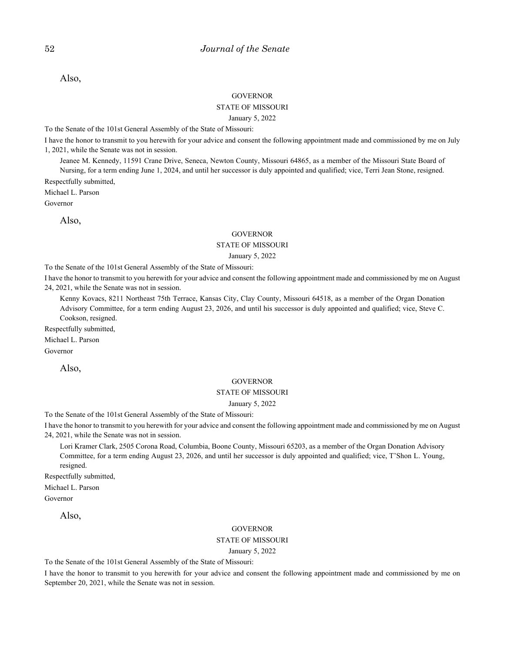Also,

#### **GOVERNOR**

#### STATE OF MISSOURI

#### January 5, 2022

To the Senate of the 101st General Assembly of the State of Missouri:

I have the honor to transmit to you herewith for your advice and consent the following appointment made and commissioned by me on July 1, 2021, while the Senate was not in session.

Jeanee M. Kennedy, 11591 Crane Drive, Seneca, Newton County, Missouri 64865, as a member of the Missouri State Board of

Nursing, for a term ending June 1, 2024, and until her successor is duly appointed and qualified; vice, Terri Jean Stone, resigned. Respectfully submitted,

Michael L. Parson

Governor

Also,

#### GOVERNOR

### STATE OF MISSOURI

#### January 5, 2022

To the Senate of the 101st General Assembly of the State of Missouri:

I have the honor to transmit to you herewith for your advice and consent the following appointment made and commissioned by me on August 24, 2021, while the Senate was not in session.

Kenny Kovacs, 8211 Northeast 75th Terrace, Kansas City, Clay County, Missouri 64518, as a member of the Organ Donation Advisory Committee, for a term ending August 23, 2026, and until his successor is duly appointed and qualified; vice, Steve C. Cookson, resigned.

Respectfully submitted,

Michael L. Parson

Governor

Also,

#### **GOVERNOR**

### STATE OF MISSOURI

#### January 5, 2022

To the Senate of the 101st General Assembly of the State of Missouri:

I have the honor to transmit to you herewith for your advice and consent the following appointment made and commissioned by me on August 24, 2021, while the Senate was not in session.

Lori Kramer Clark, 2505 Corona Road, Columbia, Boone County, Missouri 65203, as a member of the Organ Donation Advisory Committee, for a term ending August 23, 2026, and until her successor is duly appointed and qualified; vice, T'Shon L. Young, resigned.

Respectfully submitted,

Michael L. Parson

Governor

Also,

#### **GOVERNOR**

#### STATE OF MISSOURI

January 5, 2022

To the Senate of the 101st General Assembly of the State of Missouri:

I have the honor to transmit to you herewith for your advice and consent the following appointment made and commissioned by me on September 20, 2021, while the Senate was not in session.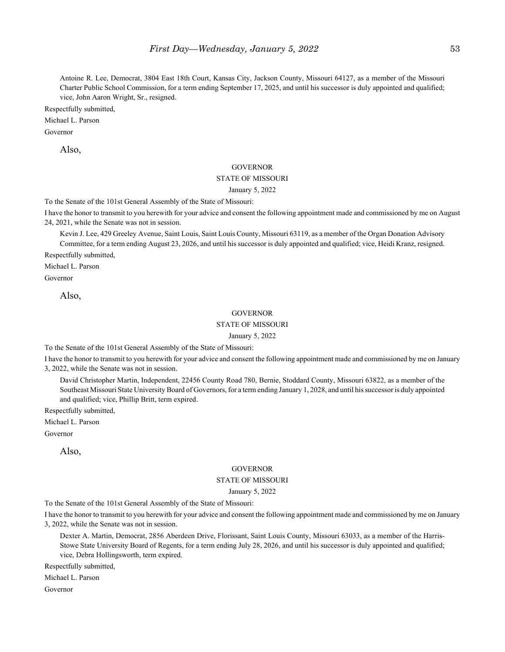Antoine R. Lee, Democrat, 3804 East 18th Court, Kansas City, Jackson County, Missouri 64127, as a member of the Missouri Charter Public School Commission, for a term ending September 17, 2025, and until his successor is duly appointed and qualified; vice, John Aaron Wright, Sr., resigned.

Respectfully submitted,

Michael L. Parson

Governor

Also,

#### **GOVERNOR**

#### STATE OF MISSOURI

January 5, 2022

To the Senate of the 101st General Assembly of the State of Missouri:

I have the honor to transmit to you herewith for your advice and consent the following appointment made and commissioned by me on August 24, 2021, while the Senate was not in session.

Kevin J. Lee, 429 Greeley Avenue, Saint Louis, Saint Louis County, Missouri 63119, as a member of the Organ Donation Advisory Committee, for a term ending August 23, 2026, and until his successor is duly appointed and qualified; vice, Heidi Kranz, resigned.

Respectfully submitted,

Michael L. Parson

Governor

Also,

#### **GOVERNOR**

#### STATE OF MISSOURI

#### January 5, 2022

To the Senate of the 101st General Assembly of the State of Missouri:

I have the honor to transmit to you herewith for your advice and consent the following appointment made and commissioned by me on January 3, 2022, while the Senate was not in session.

David Christopher Martin, Independent, 22456 County Road 780, Bernie, Stoddard County, Missouri 63822, as a member of the Southeast Missouri State University Board of Governors, for a term ending January 1, 2028, and until his successor is duly appointed and qualified; vice, Phillip Britt, term expired.

Respectfully submitted,

Michael L. Parson

Governor

Also,

#### GOVERNOR

#### STATE OF MISSOURI

#### January 5, 2022

To the Senate of the 101st General Assembly of the State of Missouri:

I have the honor to transmit to you herewith for your advice and consent the following appointment made and commissioned by me on January 3, 2022, while the Senate was not in session.

Dexter A. Martin, Democrat, 2856 Aberdeen Drive, Florissant, Saint Louis County, Missouri 63033, as a member of the Harris-Stowe State University Board of Regents, for a term ending July 28, 2026, and until his successor is duly appointed and qualified; vice, Debra Hollingsworth, term expired.

Respectfully submitted,

Michael L. Parson

Governor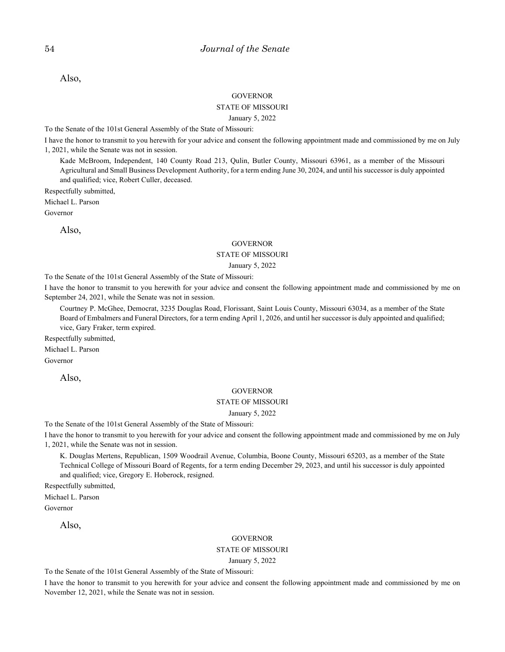Also,

#### **GOVERNOR**

### STATE OF MISSOURI

#### January 5, 2022

To the Senate of the 101st General Assembly of the State of Missouri:

I have the honor to transmit to you herewith for your advice and consent the following appointment made and commissioned by me on July 1, 2021, while the Senate was not in session.

Kade McBroom, Independent, 140 County Road 213, Qulin, Butler County, Missouri 63961, as a member of the Missouri Agricultural and Small Business Development Authority, for a term ending June 30, 2024, and until his successor is duly appointed and qualified; vice, Robert Culler, deceased.

Respectfully submitted,

Michael L. Parson

Governor

Also,

#### **GOVERNOR**

#### STATE OF MISSOURI

#### January 5, 2022

To the Senate of the 101st General Assembly of the State of Missouri:

I have the honor to transmit to you herewith for your advice and consent the following appointment made and commissioned by me on September 24, 2021, while the Senate was not in session.

Courtney P. McGhee, Democrat, 3235 Douglas Road, Florissant, Saint Louis County, Missouri 63034, as a member of the State Board of Embalmers and Funeral Directors, for a term ending April 1, 2026, and until her successor is duly appointed and qualified; vice, Gary Fraker, term expired.

Respectfully submitted,

Michael L. Parson

Governor

Also,

#### **GOVERNOR**

#### STATE OF MISSOURI

January 5, 2022

To the Senate of the 101st General Assembly of the State of Missouri:

I have the honor to transmit to you herewith for your advice and consent the following appointment made and commissioned by me on July 1, 2021, while the Senate was not in session.

K. Douglas Mertens, Republican, 1509 Woodrail Avenue, Columbia, Boone County, Missouri 65203, as a member of the State Technical College of Missouri Board of Regents, for a term ending December 29, 2023, and until his successor is duly appointed and qualified; vice, Gregory E. Hoberock, resigned.

Respectfully submitted,

Michael L. Parson Governor

Also,

#### GOVERNOR

#### STATE OF MISSOURI

January 5, 2022

To the Senate of the 101st General Assembly of the State of Missouri:

I have the honor to transmit to you herewith for your advice and consent the following appointment made and commissioned by me on November 12, 2021, while the Senate was not in session.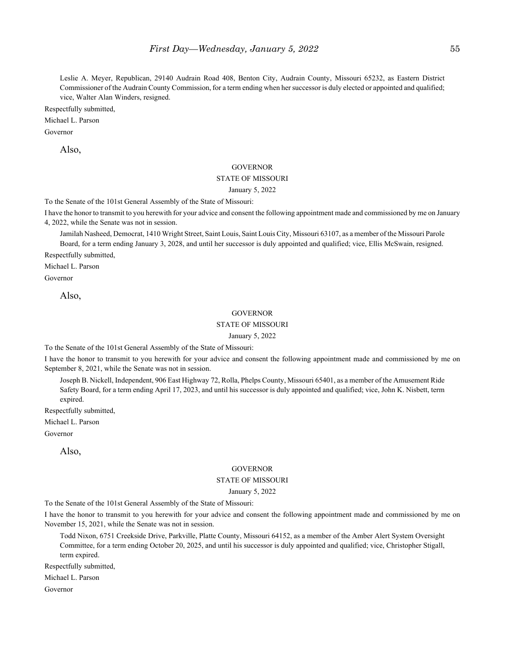Leslie A. Meyer, Republican, 29140 Audrain Road 408, Benton City, Audrain County, Missouri 65232, as Eastern District Commissioner of the Audrain County Commission, for a term ending when her successor is duly elected or appointed and qualified; vice, Walter Alan Winders, resigned.

Respectfully submitted,

Michael L. Parson

Governor

Also,

#### **GOVERNOR**

#### STATE OF MISSOURI

January 5, 2022

To the Senate of the 101st General Assembly of the State of Missouri:

I have the honor to transmit to you herewith for your advice and consent the following appointment made and commissioned by me on January 4, 2022, while the Senate was not in session.

Jamilah Nasheed, Democrat, 1410 Wright Street, Saint Louis, Saint Louis City, Missouri 63107, as a member of the Missouri Parole Board, for a term ending January 3, 2028, and until her successor is duly appointed and qualified; vice, Ellis McSwain, resigned.

Respectfully submitted,

Michael L. Parson

Governor

Also,

#### **GOVERNOR**

#### STATE OF MISSOURI

#### January 5, 2022

To the Senate of the 101st General Assembly of the State of Missouri:

I have the honor to transmit to you herewith for your advice and consent the following appointment made and commissioned by me on September 8, 2021, while the Senate was not in session.

Joseph B. Nickell, Independent, 906 East Highway 72, Rolla, Phelps County, Missouri 65401, as a member of the Amusement Ride Safety Board, for a term ending April 17, 2023, and until his successor is duly appointed and qualified; vice, John K. Nisbett, term expired.

Respectfully submitted,

Michael L. Parson

Governor

Also,

#### GOVERNOR

#### STATE OF MISSOURI

#### January 5, 2022

To the Senate of the 101st General Assembly of the State of Missouri:

I have the honor to transmit to you herewith for your advice and consent the following appointment made and commissioned by me on November 15, 2021, while the Senate was not in session.

Todd Nixon, 6751 Creekside Drive, Parkville, Platte County, Missouri 64152, as a member of the Amber Alert System Oversight Committee, for a term ending October 20, 2025, and until his successor is duly appointed and qualified; vice, Christopher Stigall, term expired.

Respectfully submitted,

Michael L. Parson

Governor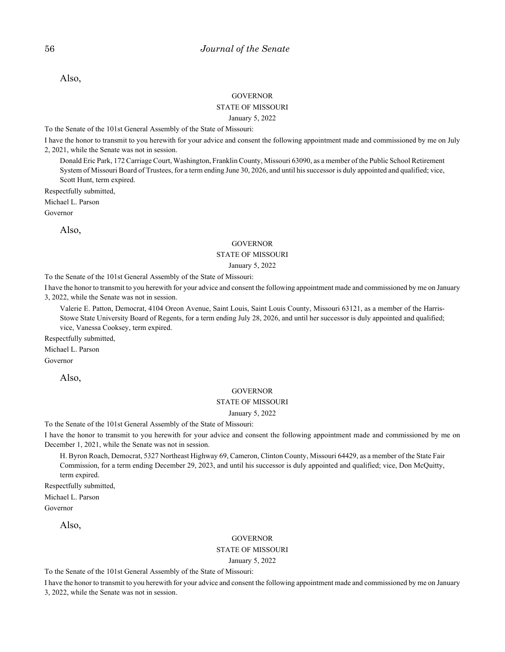Also,

#### **GOVERNOR**

#### STATE OF MISSOURI

#### January 5, 2022

To the Senate of the 101st General Assembly of the State of Missouri:

I have the honor to transmit to you herewith for your advice and consent the following appointment made and commissioned by me on July 2, 2021, while the Senate was not in session.

Donald Eric Park, 172 Carriage Court, Washington, Franklin County, Missouri 63090, as a member of the Public School Retirement System of Missouri Board of Trustees, for a term ending June 30, 2026, and until his successor is duly appointed and qualified; vice, Scott Hunt, term expired.

Respectfully submitted,

Michael L. Parson

Governor

Also,

#### **GOVERNOR**

#### STATE OF MISSOURI

#### January 5, 2022

To the Senate of the 101st General Assembly of the State of Missouri:

I have the honor to transmit to you herewith for your advice and consent the following appointment made and commissioned by me on January 3, 2022, while the Senate was not in session.

Valerie E. Patton, Democrat, 4104 Oreon Avenue, Saint Louis, Saint Louis County, Missouri 63121, as a member of the Harris-Stowe State University Board of Regents, for a term ending July 28, 2026, and until her successor is duly appointed and qualified; vice, Vanessa Cooksey, term expired.

Respectfully submitted,

Michael L. Parson

Governor

Also,

#### **GOVERNOR**

#### STATE OF MISSOURI

January 5, 2022

To the Senate of the 101st General Assembly of the State of Missouri:

I have the honor to transmit to you herewith for your advice and consent the following appointment made and commissioned by me on December 1, 2021, while the Senate was not in session.

H. Byron Roach, Democrat, 5327 Northeast Highway 69, Cameron, Clinton County, Missouri 64429, as a member of the State Fair Commission, for a term ending December 29, 2023, and until his successor is duly appointed and qualified; vice, Don McQuitty, term expired.

Respectfully submitted,

Michael L. Parson

Governor

Also,

#### **GOVERNOR**

STATE OF MISSOURI

January 5, 2022

To the Senate of the 101st General Assembly of the State of Missouri:

I have the honor to transmit to you herewith for your advice and consent the following appointment made and commissioned by me on January 3, 2022, while the Senate was not in session.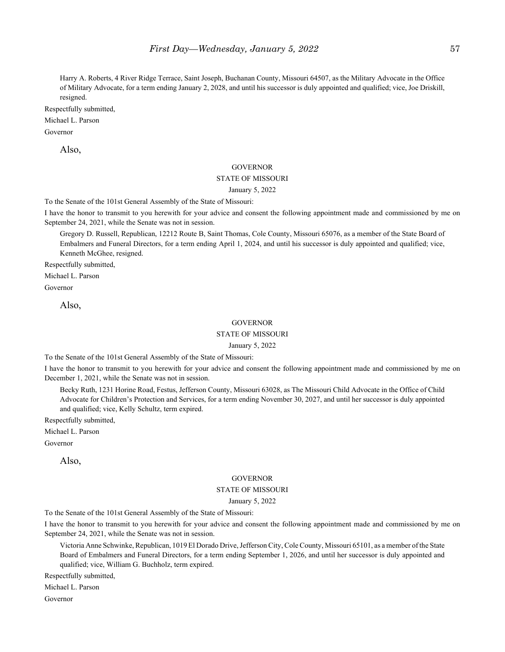Harry A. Roberts, 4 River Ridge Terrace, Saint Joseph, Buchanan County, Missouri 64507, as the Military Advocate in the Office of Military Advocate, for a term ending January 2, 2028, and until his successor is duly appointed and qualified; vice, Joe Driskill, resigned.

Respectfully submitted,

### Michael L. Parson

Governor

Also,

#### **GOVERNOR**

#### STATE OF MISSOURI

January 5, 2022

To the Senate of the 101st General Assembly of the State of Missouri:

I have the honor to transmit to you herewith for your advice and consent the following appointment made and commissioned by me on September 24, 2021, while the Senate was not in session.

Gregory D. Russell, Republican, 12212 Route B, Saint Thomas, Cole County, Missouri 65076, as a member of the State Board of Embalmers and Funeral Directors, for a term ending April 1, 2024, and until his successor is duly appointed and qualified; vice, Kenneth McGhee, resigned.

Respectfully submitted,

Michael L. Parson

Governor

Also,

#### **GOVERNOR**

### STATE OF MISSOURI

January 5, 2022

To the Senate of the 101st General Assembly of the State of Missouri:

I have the honor to transmit to you herewith for your advice and consent the following appointment made and commissioned by me on December 1, 2021, while the Senate was not in session.

Becky Ruth, 1231 Horine Road, Festus, Jefferson County, Missouri 63028, as The Missouri Child Advocate in the Office of Child Advocate for Children's Protection and Services, for a term ending November 30, 2027, and until her successor is duly appointed and qualified; vice, Kelly Schultz, term expired.

Respectfully submitted,

Michael L. Parson

Governor

Also,

#### **GOVERNOR**

#### STATE OF MISSOURI

#### January 5, 2022

To the Senate of the 101st General Assembly of the State of Missouri:

I have the honor to transmit to you herewith for your advice and consent the following appointment made and commissioned by me on September 24, 2021, while the Senate was not in session.

Victoria Anne Schwinke, Republican, 1019 El Dorado Drive, Jefferson City, Cole County, Missouri 65101, as a member of the State Board of Embalmers and Funeral Directors, for a term ending September 1, 2026, and until her successor is duly appointed and qualified; vice, William G. Buchholz, term expired.

Respectfully submitted,

Michael L. Parson

Governor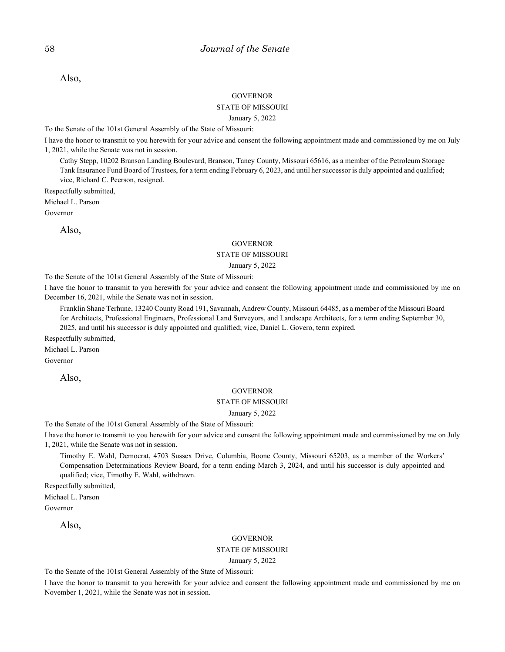Also,

#### **GOVERNOR**

#### STATE OF MISSOURI

#### January 5, 2022

To the Senate of the 101st General Assembly of the State of Missouri:

I have the honor to transmit to you herewith for your advice and consent the following appointment made and commissioned by me on July 1, 2021, while the Senate was not in session.

Cathy Stepp, 10202 Branson Landing Boulevard, Branson, Taney County, Missouri 65616, as a member of the Petroleum Storage Tank Insurance Fund Board of Trustees, for a term ending February 6, 2023, and until her successor is duly appointed and qualified; vice, Richard C. Peerson, resigned.

Respectfully submitted,

Michael L. Parson

Governor

Also,

#### **GOVERNOR**

#### STATE OF MISSOURI

#### January 5, 2022

To the Senate of the 101st General Assembly of the State of Missouri:

I have the honor to transmit to you herewith for your advice and consent the following appointment made and commissioned by me on December 16, 2021, while the Senate was not in session.

Franklin Shane Terhune, 13240 County Road 191, Savannah, Andrew County, Missouri 64485, as a member of the Missouri Board for Architects, Professional Engineers, Professional Land Surveyors, and Landscape Architects, for a term ending September 30, 2025, and until his successor is duly appointed and qualified; vice, Daniel L. Govero, term expired.

Respectfully submitted,

Michael L. Parson

Governor

Also,

#### **GOVERNOR**

#### STATE OF MISSOURI

January 5, 2022

To the Senate of the 101st General Assembly of the State of Missouri:

I have the honor to transmit to you herewith for your advice and consent the following appointment made and commissioned by me on July 1, 2021, while the Senate was not in session.

Timothy E. Wahl, Democrat, 4703 Sussex Drive, Columbia, Boone County, Missouri 65203, as a member of the Workers' Compensation Determinations Review Board, for a term ending March 3, 2024, and until his successor is duly appointed and qualified; vice, Timothy E. Wahl, withdrawn.

Respectfully submitted,

Michael L. Parson Governor

Also,

#### **GOVERNOR**

### STATE OF MISSOURI

January 5, 2022

To the Senate of the 101st General Assembly of the State of Missouri:

I have the honor to transmit to you herewith for your advice and consent the following appointment made and commissioned by me on November 1, 2021, while the Senate was not in session.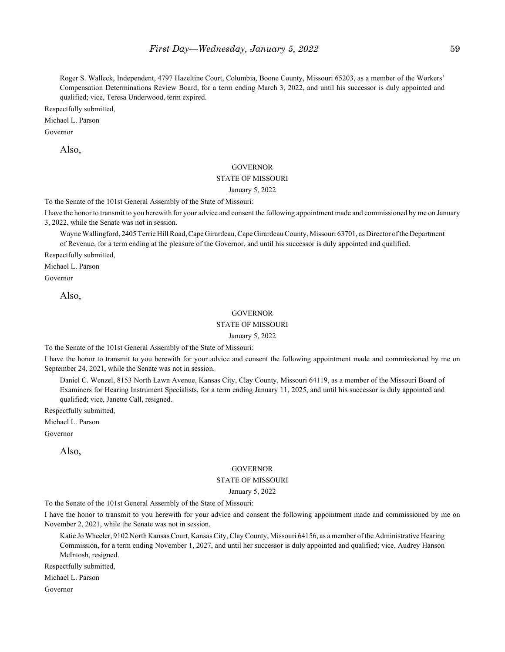Roger S. Walleck, Independent, 4797 Hazeltine Court, Columbia, Boone County, Missouri 65203, as a member of the Workers' Compensation Determinations Review Board, for a term ending March 3, 2022, and until his successor is duly appointed and qualified; vice, Teresa Underwood, term expired.

Respectfully submitted,

Michael L. Parson

Governor

Also,

#### **GOVERNOR**

#### STATE OF MISSOURI

January 5, 2022

To the Senate of the 101st General Assembly of the State of Missouri:

I have the honor to transmit to you herewith for your advice and consent the following appointment made and commissioned by me on January 3, 2022, while the Senate was not in session.

Wayne Wallingford, 2405 Terrie Hill Road, Cape Girardeau, Cape Girardeau County, Missouri 63701, as Director of the Department of Revenue, for a term ending at the pleasure of the Governor, and until his successor is duly appointed and qualified.

Respectfully submitted,

Michael L. Parson

Governor

Also,

#### **GOVERNOR**

#### STATE OF MISSOURI

#### January 5, 2022

To the Senate of the 101st General Assembly of the State of Missouri:

I have the honor to transmit to you herewith for your advice and consent the following appointment made and commissioned by me on September 24, 2021, while the Senate was not in session.

Daniel C. Wenzel, 8153 North Lawn Avenue, Kansas City, Clay County, Missouri 64119, as a member of the Missouri Board of Examiners for Hearing Instrument Specialists, for a term ending January 11, 2025, and until his successor is duly appointed and qualified; vice, Janette Call, resigned.

Respectfully submitted,

Michael L. Parson

Governor

Also,

#### GOVERNOR

#### STATE OF MISSOURI

#### January 5, 2022

To the Senate of the 101st General Assembly of the State of Missouri:

I have the honor to transmit to you herewith for your advice and consent the following appointment made and commissioned by me on November 2, 2021, while the Senate was not in session.

Katie Jo Wheeler, 9102 North Kansas Court, Kansas City, Clay County, Missouri 64156, as a member of the Administrative Hearing Commission, for a term ending November 1, 2027, and until her successor is duly appointed and qualified; vice, Audrey Hanson McIntosh, resigned.

Respectfully submitted,

Michael L. Parson

Governor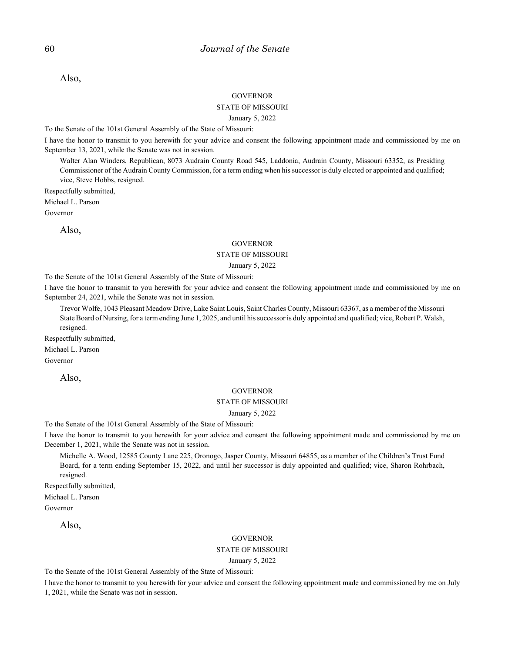Also,

#### **GOVERNOR**

### STATE OF MISSOURI

#### January 5, 2022

To the Senate of the 101st General Assembly of the State of Missouri:

I have the honor to transmit to you herewith for your advice and consent the following appointment made and commissioned by me on September 13, 2021, while the Senate was not in session.

Walter Alan Winders, Republican, 8073 Audrain County Road 545, Laddonia, Audrain County, Missouri 63352, as Presiding Commissioner of the Audrain County Commission, for a term ending when his successor is duly elected or appointed and qualified; vice, Steve Hobbs, resigned.

Respectfully submitted,

Michael L. Parson

Governor

Also,

#### **GOVERNOR**

#### STATE OF MISSOURI

#### January 5, 2022

To the Senate of the 101st General Assembly of the State of Missouri:

I have the honor to transmit to you herewith for your advice and consent the following appointment made and commissioned by me on September 24, 2021, while the Senate was not in session.

Trevor Wolfe, 1043 Pleasant Meadow Drive, Lake Saint Louis, Saint Charles County, Missouri 63367, as a member of the Missouri State Board of Nursing, for a term ending June 1, 2025, and until his successor is duly appointed and qualified; vice, Robert P. Walsh, resigned.

Respectfully submitted,

Michael L. Parson

Governor

Also,

#### **GOVERNOR**

#### STATE OF MISSOURI

#### January 5, 2022

To the Senate of the 101st General Assembly of the State of Missouri:

I have the honor to transmit to you herewith for your advice and consent the following appointment made and commissioned by me on December 1, 2021, while the Senate was not in session.

Michelle A. Wood, 12585 County Lane 225, Oronogo, Jasper County, Missouri 64855, as a member of the Children's Trust Fund Board, for a term ending September 15, 2022, and until her successor is duly appointed and qualified; vice, Sharon Rohrbach, resigned.

Respectfully submitted,

Michael L. Parson

Governor

Also,

#### GOVERNOR

### STATE OF MISSOURI

January 5, 2022

To the Senate of the 101st General Assembly of the State of Missouri:

I have the honor to transmit to you herewith for your advice and consent the following appointment made and commissioned by me on July 1, 2021, while the Senate was not in session.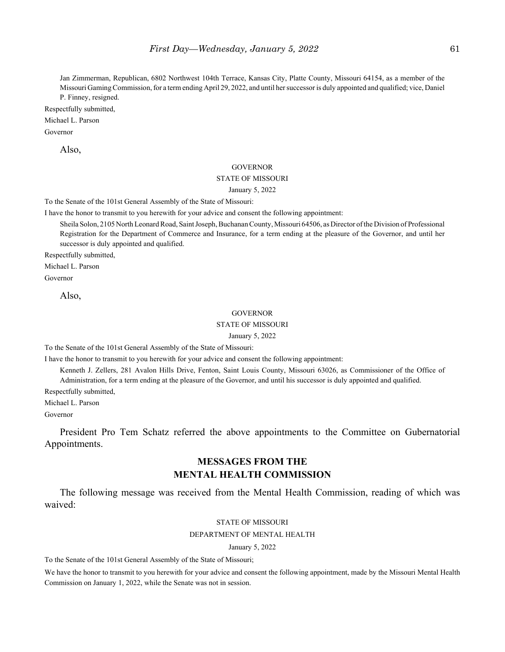Jan Zimmerman, Republican, 6802 Northwest 104th Terrace, Kansas City, Platte County, Missouri 64154, as a member of the Missouri Gaming Commission, for a term ending April 29, 2022, and until her successor is duly appointed and qualified; vice, Daniel P. Finney, resigned.

Respectfully submitted,

Michael L. Parson

Governor

Also,

#### **GOVERNOR**

#### STATE OF MISSOURI

January 5, 2022

To the Senate of the 101st General Assembly of the State of Missouri:

I have the honor to transmit to you herewith for your advice and consent the following appointment:

Sheila Solon, 2105 North Leonard Road, Saint Joseph, Buchanan County, Missouri 64506, as Director of the Division of Professional Registration for the Department of Commerce and Insurance, for a term ending at the pleasure of the Governor, and until her successor is duly appointed and qualified.

Respectfully submitted,

Michael L. Parson

Governor

Also,

#### **GOVERNOR**

#### STATE OF MISSOURI

#### January 5, 2022

To the Senate of the 101st General Assembly of the State of Missouri:

I have the honor to transmit to you herewith for your advice and consent the following appointment:

Kenneth J. Zellers, 281 Avalon Hills Drive, Fenton, Saint Louis County, Missouri 63026, as Commissioner of the Office of Administration, for a term ending at the pleasure of the Governor, and until his successor is duly appointed and qualified.

Respectfully submitted,

Michael L. Parson

Governor

President Pro Tem Schatz referred the above appointments to the Committee on Gubernatorial Appointments.

## **MESSAGES FROM THE MENTAL HEALTH COMMISSION**

The following message was received from the Mental Health Commission, reading of which was waived:

#### STATE OF MISSOURI

#### DEPARTMENT OF MENTAL HEALTH

January 5, 2022

To the Senate of the 101st General Assembly of the State of Missouri;

We have the honor to transmit to you herewith for your advice and consent the following appointment, made by the Missouri Mental Health Commission on January 1, 2022, while the Senate was not in session.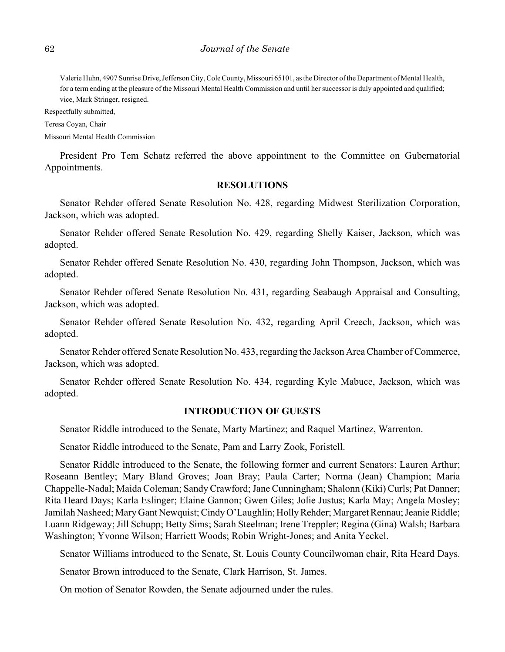Valerie Huhn, 4907 Sunrise Drive, Jefferson City, Cole County, Missouri 65101, as the Director of the Department of Mental Health, for a term ending at the pleasure of the Missouri Mental Health Commission and until her successor is duly appointed and qualified; vice, Mark Stringer, resigned.

Respectfully submitted,

Teresa Coyan, Chair

Missouri Mental Health Commission

President Pro Tem Schatz referred the above appointment to the Committee on Gubernatorial Appointments.

### **RESOLUTIONS**

Senator Rehder offered Senate Resolution No. 428, regarding Midwest Sterilization Corporation, Jackson, which was adopted.

Senator Rehder offered Senate Resolution No. 429, regarding Shelly Kaiser, Jackson, which was adopted.

Senator Rehder offered Senate Resolution No. 430, regarding John Thompson, Jackson, which was adopted.

Senator Rehder offered Senate Resolution No. 431, regarding Seabaugh Appraisal and Consulting, Jackson, which was adopted.

Senator Rehder offered Senate Resolution No. 432, regarding April Creech, Jackson, which was adopted.

Senator Rehder offered Senate Resolution No. 433, regarding the Jackson Area Chamber of Commerce, Jackson, which was adopted.

Senator Rehder offered Senate Resolution No. 434, regarding Kyle Mabuce, Jackson, which was adopted.

### **INTRODUCTION OF GUESTS**

Senator Riddle introduced to the Senate, Marty Martinez; and Raquel Martinez, Warrenton.

Senator Riddle introduced to the Senate, Pam and Larry Zook, Foristell.

Senator Riddle introduced to the Senate, the following former and current Senators: Lauren Arthur; Roseann Bentley; Mary Bland Groves; Joan Bray; Paula Carter; Norma (Jean) Champion; Maria Chappelle-Nadal; Maida Coleman; Sandy Crawford; Jane Cunningham; Shalonn (Kiki) Curls; Pat Danner; Rita Heard Days; Karla Eslinger; Elaine Gannon; Gwen Giles; Jolie Justus; Karla May; Angela Mosley; Jamilah Nasheed; Mary Gant Newquist; Cindy O'Laughlin; Holly Rehder; Margaret Rennau; Jeanie Riddle; Luann Ridgeway; Jill Schupp; Betty Sims; Sarah Steelman; Irene Treppler; Regina (Gina) Walsh; Barbara Washington; Yvonne Wilson; Harriett Woods; Robin Wright-Jones; and Anita Yeckel.

Senator Williams introduced to the Senate, St. Louis County Councilwoman chair, Rita Heard Days.

Senator Brown introduced to the Senate, Clark Harrison, St. James.

On motion of Senator Rowden, the Senate adjourned under the rules.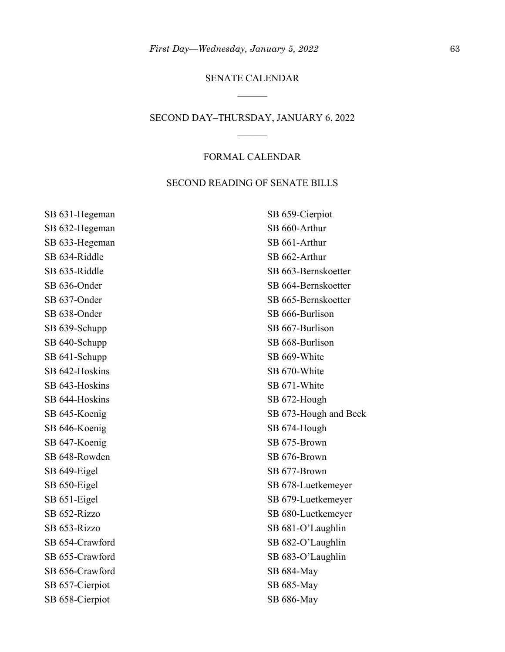## SENATE CALENDAR

### SECOND DAY–THURSDAY, JANUARY 6, 2022

### FORMAL CALENDAR

### SECOND READING OF SENATE BILLS

SB 631-Hegeman SB 632-Hegeman SB 633-Hegeman SB 634-Riddle SB 635-Riddle SB 636-Onder SB 637-Onder SB 638-Onder SB 639-Schupp SB 640-Schupp SB 641-Schupp SB 642-Hoskins SB 643-Hoskins SB 644-Hoskins SB 645-Koenig SB 646-Koenig SB 647-Koenig SB 648-Rowden SB 649-Eigel SB 650-Eigel SB 651-Eigel SB 652-Rizzo SB 653-Rizzo SB 654-Crawford SB 655-Crawford SB 656-Crawford SB 657-Cierpiot SB 658-Cierpiot

SB 659-Cierpiot SB 660-Arthur SB 661-Arthur SB 662-Arthur SB 663-Bernskoetter SB 664-Bernskoetter SB 665-Bernskoetter SB 666-Burlison SB 667-Burlison SB 668-Burlison SB 669-White SB 670-White SB 671-White SB 672-Hough SB 673-Hough and Beck SB 674-Hough SB 675-Brown SB 676-Brown SB 677-Brown SB 678-Luetkemeyer SB 679-Luetkemeyer SB 680-Luetkemeyer SB 681-O'Laughlin SB 682-O'Laughlin SB 683-O'Laughlin SB 684-May SB 685-May SB 686-May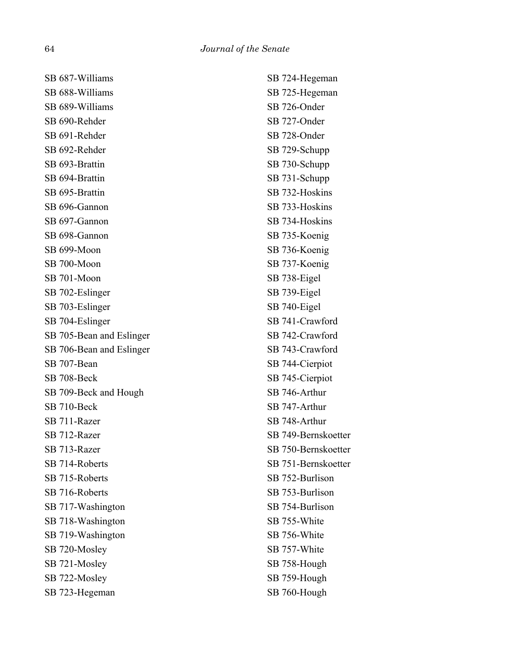SB 687-Williams SB 688-Williams SB 689-Williams SB 690-Rehder SB 691-Rehder SB 692-Rehder SB 693-Brattin SB 694-Brattin SB 695-Brattin SB 696-Gannon SB 697-Gannon SB 698-Gannon SB 699-Moon SB 700-Moon SB 701-Moon SB 702-Eslinger SB 703-Eslinger SB 704-Eslinger SB 705-Bean and Eslinger SB 706-Bean and Eslinger SB 707-Bean SB 708-Beck SB 709-Beck and Hough SB 710-Beck SB 711-Razer SB 712-Razer SB 713-Razer SB 714-Roberts SB 715-Roberts SB 716-Roberts SB 717-Washington SB 718-Washington SB 719-Washington SB 720-Mosley SB 721-Mosley SB 722-Mosley SB 723-Hegeman

SB 724-Hegeman SB 725-Hegeman SB 726-Onder SB 727-Onder SB 728-Onder SB 729-Schupp SB 730-Schupp SB 731-Schupp SB 732-Hoskins SB 733-Hoskins SB 734-Hoskins SB 735-Koenig SB 736-Koenig SB 737-Koenig SB 738-Eigel SB 739-Eigel SB 740-Eigel SB 741-Crawford SB 742-Crawford SB 743-Crawford SB 744-Cierpiot SB 745-Cierpiot SB 746-Arthur SB 747-Arthur SB 748-Arthur SB 749-Bernskoetter SB 750-Bernskoetter SB 751-Bernskoetter SB 752-Burlison SB 753-Burlison SB 754-Burlison SB 755-White SB 756-White SB 757-White SB 758-Hough SB 759-Hough SB 760-Hough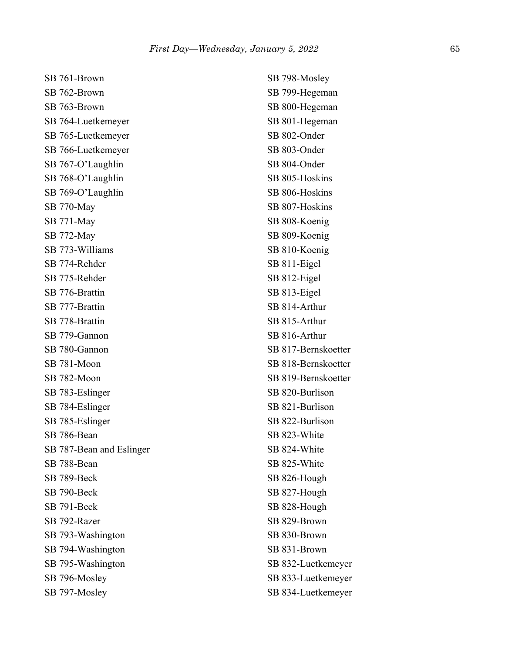SB 761-Brown SB 762-Brown SB 763-Brown SB 764-Luetkemeyer SB 765-Luetkemeyer SB 766-Luetkemeyer SB 767-O'Laughlin SB 768-O'Laughlin SB 769-O'Laughlin SB 770-May SB 771-May SB 772-May SB 773-Williams SB 774-Rehder SB 775-Rehder SB 776-Brattin SB 777-Brattin SB 778-Brattin SB 779-Gannon SB 780-Gannon SB 781-Moon SB 782-Moon SB 783-Eslinger SB 784-Eslinger SB 785-Eslinger SB 786-Bean SB 787-Bean and Eslinger SB 788-Bean SB 789-Beck SB 790-Beck SB 791-Beck SB 792-Razer SB 793-Washington SB 794-Washington SB 795-Washington SB 796-Mosley SB 797-Mosley

SB 798-Mosley SB 799-Hegeman SB 800-Hegeman SB 801-Hegeman SB 802-Onder SB 803-Onder SB 804-Onder SB 805-Hoskins SB 806-Hoskins SB 807-Hoskins SB 808-Koenig SB 809-Koenig SB 810-Koenig SB 811-Eigel SB 812-Eigel SB 813-Eigel SB 814-Arthur SB 815-Arthur SB 816-Arthur SB 817-Bernskoetter SB 818-Bernskoetter SB 819-Bernskoetter SB 820-Burlison SB 821-Burlison SB 822-Burlison SB 823-White SB 824-White SB 825-White SB 826-Hough SB 827-Hough SB 828-Hough SB 829-Brown SB 830-Brown SB 831-Brown SB 832-Luetkemeyer SB 833-Luetkemeyer SB 834-Luetkemeyer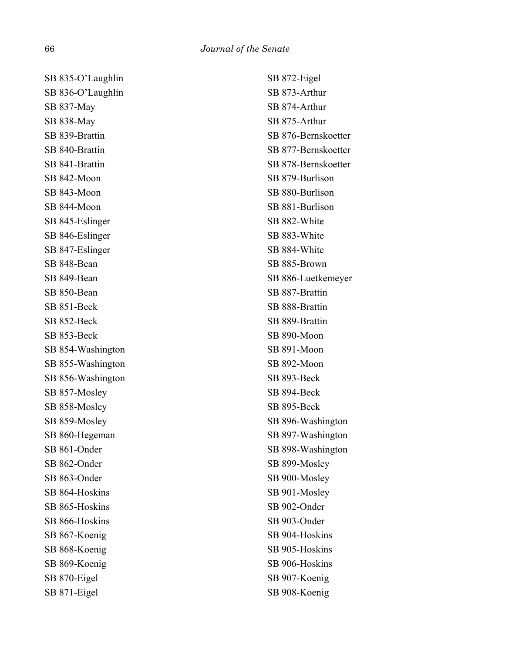SB 835-O'Laughlin SB 836-O'Laughlin SB 837-May SB 838-May SB 839-Brattin SB 840-Brattin SB 841-Brattin SB 842-Moon SB 843-Moon SB 844-Moon SB 845-Eslinger SB 846-Eslinger SB 847-Eslinger SB 848-Bean SB 849-Bean SB 850-Bean SB 851-Beck SB 852-Beck SB 853-Beck SB 854-Washington SB 855-Washington SB 856-Washington SB 857-Mosley SB 858-Mosley SB 859-Mosley SB 860-Hegeman SB 861-Onder SB 862-Onder SB 863-Onder SB 864-Hoskins SB 865-Hoskins SB 866-Hoskins SB 867-Koenig SB 868-Koenig SB 869-Koenig SB 870-Eigel SB 871-Eigel

SB 872-Eigel SB 873-Arthur SB 874-Arthur SB 875-Arthur SB 876-Bernskoetter SB 877-Bernskoetter SB 878-Bernskoetter SB 879-Burlison SB 880-Burlison SB 881-Burlison SB 882-White SB 883-White SB 884-White SB 885-Brown SB 886-Luetkemeyer SB 887-Brattin SB 888-Brattin SB 889-Brattin SB 890-Moon SB 891-Moon SB 892-Moon SB 893-Beck SB 894-Beck SB 895-Beck SB 896-Washington SB 897-Washington SB 898-Washington SB 899-Mosley SB 900-Mosley SB 901-Mosley SB 902-Onder SB 903-Onder SB 904-Hoskins SB 905-Hoskins SB 906-Hoskins SB 907-Koenig SB 908-Koenig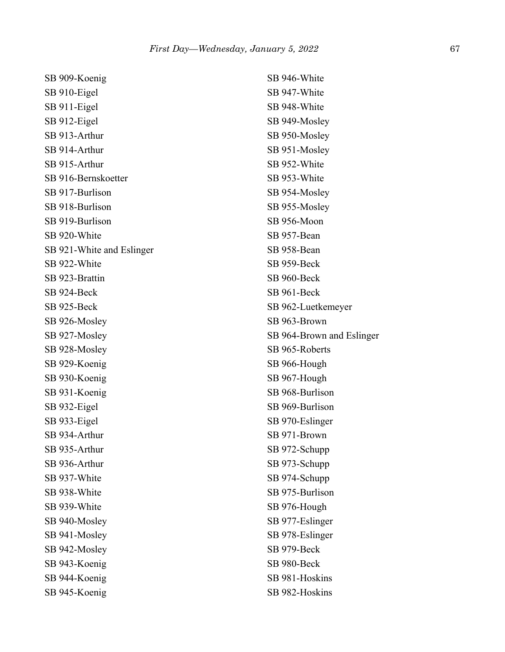| SB 909-Koenig             |
|---------------------------|
| SB 910-Eigel              |
| SB 911-Eigel              |
| SB 912-Eigel              |
| SB 913-Arthur             |
| SB 914-Arthur             |
| SB 915-Arthur             |
| SB 916-Bernskoetter       |
| SB 917-Burlison           |
| SB 918-Burlison           |
| SB 919-Burlison           |
| SB 920-White              |
| SB 921-White and Eslinger |
| SB 922-White              |
| SB 923-Brattin            |
| SB 924-Beck               |
| SB 925-Beck               |
| SB 926-Mosley             |
| SB 927-Mosley             |
| SB 928-Mosley             |
| SB 929-Koenig             |
| SB 930-Koenig             |
| SB 931-Koenig             |
| SB 932-Eigel              |
| SB 933-Eigel              |
| SB 934-Arthur             |
| SB 935-Arthur             |
| SB 936-Arthur             |
| SB 937-White              |
| SB 938-White              |
| SB 939-White              |
| SB 940-Mosley             |
| SB 941-Mosley             |
| SB 942-Mosley             |
| SB 943-Koenig             |
| SB 944-Koenig             |
| SB 945-Koenig             |

SB 946-White SB 947-White SB 948-White SB 949-Mosley SB 950-Mosley SB 951-Mosley SB 952-White SB 953-White SB 954-Mosley SB 955-Mosley SB 956-Moon SB 957-Bean SB 958-Bean SB 959-Beck SB 960-Beck SB 961-Beck SB 962-Luetkemeyer SB 963-Brown SB 964-Brown and Eslinger SB 965-Roberts SB 966-Hough SB 967-Hough SB 968-Burlison SB 969-Burlison SB 970-Eslinger SB 971-Brown SB 972-Schupp SB 973-Schupp SB 974-Schupp SB 975-Burlison SB 976-Hough SB 977-Eslinger SB 978-Eslinger SB 979-Beck SB 980-Beck SB 981-Hoskins SB 982-Hoskins